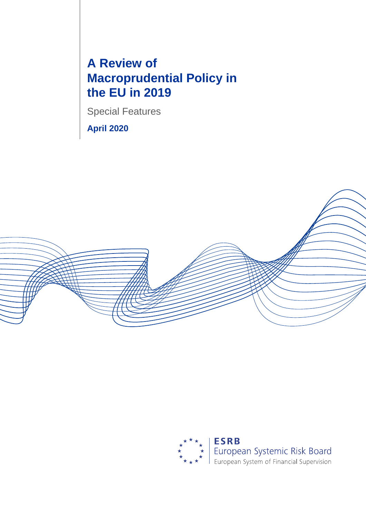# **A Review of Macroprudential Policy in the EU in 2019**

Special Features

**April 2020**



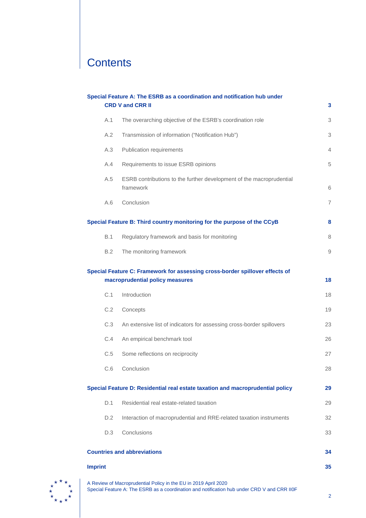# **Contents**

|                | Special Feature A: The ESRB as a coordination and notification hub under<br><b>CRD V and CRR II</b>             | 3              |
|----------------|-----------------------------------------------------------------------------------------------------------------|----------------|
| A.1            | The overarching objective of the ESRB's coordination role                                                       | 3              |
| A.2            | Transmission of information ("Notification Hub")                                                                | 3              |
| A.3            | Publication requirements                                                                                        | $\overline{4}$ |
| A.4            | Requirements to issue ESRB opinions                                                                             | 5              |
| A.5            | ESRB contributions to the further development of the macroprudential<br>framework                               | 6              |
| A.6            | Conclusion                                                                                                      | $\overline{7}$ |
|                | Special Feature B: Third country monitoring for the purpose of the CCyB                                         | 8              |
| B.1            | Regulatory framework and basis for monitoring                                                                   | 8              |
| B.2            | The monitoring framework                                                                                        | 9              |
|                | Special Feature C: Framework for assessing cross-border spillover effects of<br>macroprudential policy measures | 18             |
| C.1            | Introduction                                                                                                    | 18             |
| C.2            | Concepts                                                                                                        | 19             |
| C.3            | An extensive list of indicators for assessing cross-border spillovers                                           | 23             |
| C.4            | An empirical benchmark tool                                                                                     | 26             |
| C.5            | Some reflections on reciprocity                                                                                 | 27             |
|                | C.6 Conclusion                                                                                                  | 28             |
|                | Special Feature D: Residential real estate taxation and macroprudential policy                                  | 29             |
| D.1            | Residential real estate-related taxation                                                                        | 29             |
| D.2            | Interaction of macroprudential and RRE-related taxation instruments                                             | 32             |
| D.3            | Conclusions                                                                                                     | 33             |
|                | <b>Countries and abbreviations</b>                                                                              | 34             |
| <b>Imprint</b> |                                                                                                                 | 35             |



A Review of Macroprudential Policy in the EU in 2019 April 2020 Special Feature A: The ESRB as a coordination and notification hub under CRD V and CRR II0F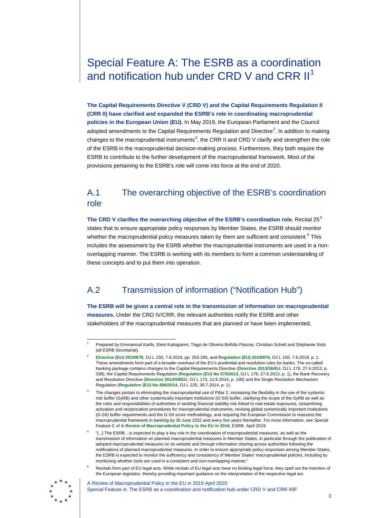## <span id="page-2-0"></span>Special Feature A: The ESRB as a coordination and notification hub under CRD V and CRR II<sup>[1](#page-2-7)</sup>

**The Capital Requirements Directive V (CRD V) and the Capital Requirements Regulation II (CRR II) have clarified and expanded the ESRB's role in coordinating macroprudential policies in the European Union (EU).** In May 2019, the European Parliament and the Council adopted amendments to the Capital Requirements Regulation and Directive<sup>[2](#page-2-3)</sup>. In addition to making changes to the macroprudential instruments<sup>[3](#page-2-4)</sup>, the CRR II and CRD V clarify and strengthen the role of the ESRB in the macroprudential decision-making process. Furthermore, they both require the ESRB to contribute to the further development of the macroprudential framework. Most of the provisions pertaining to the ESRB's role will come into force at the end of 2020.

## <span id="page-2-1"></span>A.1 The overarching objective of the ESRB's coordination role

**The CRD V clarifies the overarching objective of the ESRB's coordination role.** Recital 25[4](#page-2-5) states that to ensure appropriate policy responses by Member States, the ESRB should monitor whether the macroprudential policy measures taken by them are sufficient and consistent.<sup>[5](#page-2-6)</sup> This includes the assessment by the ESRB whether the macroprudential instruments are used in a nonoverlapping manner. The ESRB is working with its members to form a common understanding of these concepts and to put them into operation.

## <span id="page-2-2"></span>A.2 Transmission of information ("Notification Hub")

**The ESRB will be given a central role in the transmission of information on macroprudential measures.** Under the CRD IV/CRR, the relevant authorities notify the ESRB and other stakeholders of the macroprudential measures that are planned or have been implemented,

<sup>5</sup> Recitals form part of EU legal acts. While recitals of EU legal acts have no binding legal force, they spell out the intention of the European legislator, thereby providing important guidance on the interpretation of the respective legal act.

<span id="page-2-6"></span><span id="page-2-5"></span>

<span id="page-2-7"></span> <sup>1</sup> Prepared by Emmanouil Karfis, Eleni Katsigianni, Tiago de Oliveira Bolhão Páscoa, Christian Schett and Stéphanie Stolz (all ESRB Secretariat).

<span id="page-2-3"></span><sup>2</sup> **[Directive \(EU\) 2019/878](https://eur-lex.europa.eu/legal-content/EN/TXT/?uri=CELEX%3A32019L0878)**, OJ L 150, 7.6.2019, pp. 253-295, and **[Regulation \(EU\) 2019/876](https://eur-lex.europa.eu/legal-content/EN/TXT/?uri=CELEX%3A32019R0876)**, OJ L 150, 7.6.2019, p. 1. These amendments form part of a broader overhaul of the EU's prudential and resolution rules for banks. The so-called banking package contains changes to the Capital Requirements Directive (**[Directive 2013/36/EU](https://eur-lex.europa.eu/legal-content/EN/TXT/?uri=celex%3A32013L0036)**, OJ L 176, 27.6.2013, p. 338), the Capital Requirements Regulation (**[Regulation \(EU\) No 575/2013](https://eur-lex.europa.eu/legal-content/EN/TXT/?uri=CELEX%3A32013R0575)**, OJ L 176, 27.6.2013, p. 1), the Bank Recovery and Resolution Directive (**[Directive 2014/59/EU](https://eur-lex.europa.eu/legal-content/EN/TXT/?uri=celex%3A32014L0059)**, OJ L 173, 12.6.2014, p. 190) and the Single Resolution Mechanism Regulation (**[Regulation \(EU\) No 806/2014](https://eur-lex.europa.eu/legal-content/EN/TXT/?uri=CELEX%3A32014R0806)**, OJ L 225, 30.7.2014, p. 1).

<span id="page-2-4"></span>The changes pertain to eliminating the macroprudential use of Pillar 2, increasing the flexibility in the use of the systemic risk buffer (SyRB) and other systemically important institutions (O-SII) buffer, clarifying the scope of the SyRB as well as the roles and responsibilities of authorities in tackling financial stability risk linked to real estate exposures, streamlining activation and reciprocation procedures for macroprudential instruments, revising global systemically important institutions (G-SII) buffer requirements and the G-SII score methodology, and requiring the European Commission to reassess the macroprudential framework in banking by 30 June 2022 and every five years thereafter. For more information, see Special Feature C of **[A Review of Macroprudential Policy in the EU in 2018](https://www.esrb.europa.eu/pub/pdf/reports/review_macroprudential_policy/esrb.report190430_reviewofmacroprudentialpolicy%7E32aae4bd95.en.pdf?0b21e4503cb0a97287bf4a5397dec754)**, ESRB, April 2019.

<sup>4</sup> "[...] The ESRB…is expected to play a key role in the coordination of macroprudential measures, as well as the transmission of information on planned macroprudential measures in Member States, in particular through the publication of adopted macroprudential measures on its website and through information sharing across authorities following the notifications of planned macroprudential measures. In order to ensure appropriate policy responses among Member States, the ESRB is expected to monitor the sufficiency and consistency of Member States' macroprudential policies, including by monitoring whether tools are used in a consistent and non-overlapping manner."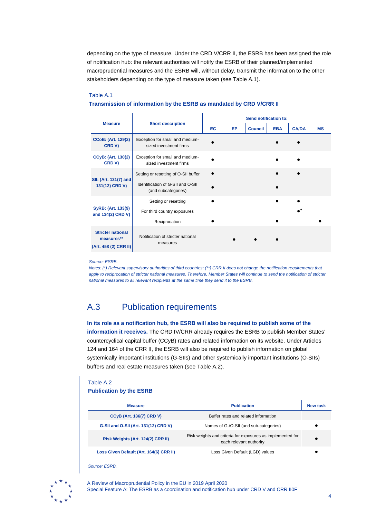depending on the type of measure. Under the CRD V/CRR II, the ESRB has been assigned the role of notification hub: the relevant authorities will notify the ESRB of their planned/implemented macroprudential measures and the ESRB will, without delay, transmit the information to the other stakeholders depending on the type of measure taken (see Table A.1).

## Table A.1 **Transmission of information by the ESRB as mandated by CRD V/CRR II**

|                                                                 |                                                           | <b>Send notification to:</b> |           |                |            |              |           |  |  |  |  |
|-----------------------------------------------------------------|-----------------------------------------------------------|------------------------------|-----------|----------------|------------|--------------|-----------|--|--|--|--|
| <b>Measure</b>                                                  | <b>Short description</b>                                  | <b>EC</b>                    | <b>EP</b> | <b>Council</b> | <b>EBA</b> | <b>CA/DA</b> | <b>MS</b> |  |  |  |  |
| <b>CCoB: (Art. 129(2)</b><br>CRD V)                             | Exception for small and medium-<br>sized investment firms |                              |           |                |            |              |           |  |  |  |  |
| <b>CCyB: (Art. 130(2)</b><br>CRD V)                             | Exception for small and medium-<br>sized investment firms |                              |           |                |            |              |           |  |  |  |  |
|                                                                 | Setting or resetting of O-SII buffer                      |                              |           |                |            |              |           |  |  |  |  |
| SII: (Art. 131(7) and<br>131(12) CRD V)                         | Identification of G-SII and O-SII<br>(and subcategories)  |                              |           |                |            |              |           |  |  |  |  |
|                                                                 | Setting or resetting                                      |                              |           |                |            |              |           |  |  |  |  |
| SyRB: (Art. 133(9)<br>and 134(2) CRD V)                         | For third country exposures                               |                              |           |                |            |              |           |  |  |  |  |
|                                                                 | Reciprocation                                             |                              |           |                |            |              |           |  |  |  |  |
| <b>Stricter national</b><br>measures**<br>(Art. 458 (2) CRR II) | Notification of stricter national<br>measures             |                              |           |                |            |              |           |  |  |  |  |

#### *Source: ESRB.*

*Notes: (\*) Relevant supervisory authorities of third countries; (\*\*) CRR II does not change the notification requirements that*  apply to reciprocation of stricter national measures. Therefore, Member States will continue to send the notification of stricter *national measures to all relevant recipients at the same time they send it to the ESRB.*

## <span id="page-3-0"></span>A.3 Publication requirements

**In its role as a notification hub, the ESRB will also be required to publish some of the information it receives.** The CRD IV/CRR already requires the ESRB to publish Member States' countercyclical capital buffer (CCyB) rates and related information on its website. Under Articles 124 and 164 of the CRR II, the ESRB will also be required to publish information on global systemically important institutions (G-SIIs) and other systemically important institutions (O-SIIs) buffers and real estate measures taken (see Table A.2).

#### Table A.2 **Publication by the ESRB**

| <b>Measure</b>                          | <b>Publication</b>                                                                    | New task |
|-----------------------------------------|---------------------------------------------------------------------------------------|----------|
| <b>CCyB (Art. 136(7) CRD V)</b>         | Buffer rates and related information                                                  |          |
| G-SII and O-SII (Art. 131(12) CRD V)    | Names of G-/O-SII (and sub-categories)                                                |          |
| Risk Weights (Art. 124(2) CRR II)       | Risk weights and criteria for exposures as implemented for<br>each relevant authority |          |
| Loss Given Default (Art. 164(6) CRR II) | Loss Given Default (LGD) values                                                       |          |

*Source: ESRB.* 

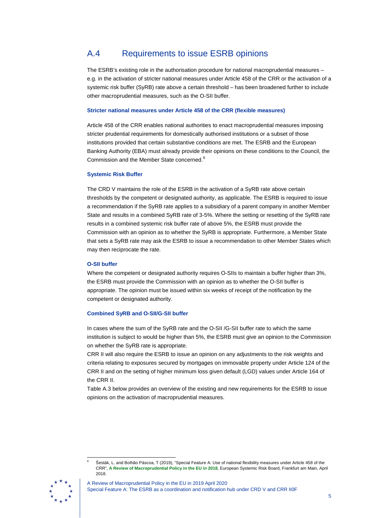## <span id="page-4-0"></span>A.4 Requirements to issue ESRB opinions

The ESRB's existing role in the authorisation procedure for national macroprudential measures – e.g. in the activation of stricter national measures under Article 458 of the CRR or the activation of a systemic risk buffer (SyRB) rate above a certain threshold – has been broadened further to include other macroprudential measures, such as the O-SII buffer.

#### **Stricter national measures under Article 458 of the CRR (flexible measures)**

Article 458 of the CRR enables national authorities to enact macroprudential measures imposing stricter prudential requirements for domestically authorised institutions or a subset of those institutions provided that certain substantive conditions are met. The ESRB and the European Banking Authority (EBA) must already provide their opinions on these conditions to the Council, the Commission and the Member State concerned.<sup>[6](#page-4-1)</sup>

#### **Systemic Risk Buffer**

The CRD V maintains the role of the ESRB in the activation of a SyRB rate above certain thresholds by the competent or designated authority, as applicable. The ESRB is required to issue a recommendation if the SyRB rate applies to a subsidiary of a parent company in another Member State and results in a combined SyRB rate of 3-5%. Where the setting or resetting of the SyRB rate results in a combined systemic risk buffer rate of above 5%, the ESRB must provide the Commission with an opinion as to whether the SyRB is appropriate. Furthermore, a Member State that sets a SyRB rate may ask the ESRB to issue a recommendation to other Member States which may then reciprocate the rate.

#### **O-SII buffer**

Where the competent or designated authority requires O-SIIs to maintain a buffer higher than 3%, the ESRB must provide the Commission with an opinion as to whether the O-SII buffer is appropriate. The opinion must be issued within six weeks of receipt of the notification by the competent or designated authority.

#### **Combined SyRB and O-SII/G-SII buffer**

In cases where the sum of the SyRB rate and the O-SII /G-SII buffer rate to which the same institution is subject to would be higher than 5%, the ESRB must give an opinion to the Commission on whether the SyRB rate is appropriate.

CRR II will also require the ESRB to issue an opinion on any adjustments to the risk weights and criteria relating to exposures secured by mortgages on immovable property under Article 124 of the CRR II and on the setting of higher minimum loss given default (LGD) values under Article 164 of the CRR II.

Table A.3 below provides an overview of the existing and new requirements for the ESRB to issue opinions on the activation of macroprudential measures.

 <sup>6</sup> Šesták, L. and Bolhão Páscoa, T (2019), "Special Feature A: Use of national flexibility measures under Article 458 of the CRR", **[A Review of Macroprudential Policy in the EU in 2018](https://www.esrb.europa.eu/pub/pdf/reports/review_macroprudential_policy/esrb.report190430_reviewofmacroprudentialpolicy%7E32aae4bd95.en.pdf?0b21e4503cb0a97287bf4a5397dec754)**, European Systemic Risk Board, Frankfurt am Main, April 2018.

<span id="page-4-1"></span>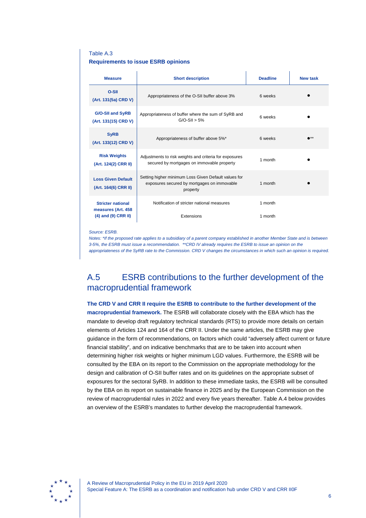#### Table A.3 **Requirements to issue ESRB opinions**

| <b>Measure</b>                                                            | <b>Short description</b>                                                                                        | <b>Deadline</b>    | <b>New task</b> |
|---------------------------------------------------------------------------|-----------------------------------------------------------------------------------------------------------------|--------------------|-----------------|
| O-SII<br>(Art. 131(5a) CRD V)                                             | Appropriateness of the O-SII buffer above 3%                                                                    | 6 weeks            |                 |
| <b>G/O-SII and SyRB</b><br>(Art. 131(15) CRD V)                           | Appropriateness of buffer where the sum of SyRB and<br>$G/O-SII > 5%$                                           | 6 weeks            |                 |
| <b>SyRB</b><br>(Art. 133(12) CRD V)                                       | Appropriateness of buffer above 5%*                                                                             | 6 weeks            | $\bullet$ **    |
| <b>Risk Weights</b><br>(Art. 124(2) CRR II)                               | Adjustments to risk weights and criteria for exposures<br>secured by mortgages on immovable property            | 1 month            |                 |
| <b>Loss Given Default</b><br>(Art. 164(6) CRR II)                         | Setting higher minimum Loss Given Default values for<br>exposures secured by mortgages on immovable<br>property | 1 month            |                 |
| <b>Stricter national</b><br>measures (Art. 458<br>$(4)$ and $(9)$ CRR II) | Notification of stricter national measures<br>Extensions                                                        | 1 month<br>1 month |                 |

*Source: ESRB.*

*Notes: \*If the proposed rate applies to a subsidiary of a parent company established in another Member State and is between 3-5%, the ESRB must issue a recommendation. \*\*CRD IV already requires the ESRB to issue an opinion on the appropriateness of the SyRB rate to the Commission. CRD V changes the circumstances in which such an opinion is required.*

## <span id="page-5-0"></span>A.5 ESRB contributions to the further development of the macroprudential framework

## **The CRD V and CRR II require the ESRB to contribute to the further development of the macroprudential framework.** The ESRB will collaborate closely with the EBA which has the mandate to develop draft regulatory technical standards (RTS) to provide more details on certain elements of Articles 124 and 164 of the CRR II. Under the same articles, the ESRB may give guidance in the form of recommendations, on factors which could "adversely affect current or future financial stability", and on indicative benchmarks that are to be taken into account when determining higher risk weights or higher minimum LGD values. Furthermore, the ESRB will be consulted by the EBA on its report to the Commission on the appropriate methodology for the design and calibration of O-SII buffer rates and on its guidelines on the appropriate subset of exposures for the sectoral SyRB. In addition to these immediate tasks, the ESRB will be consulted by the EBA on its report on sustainable finance in 2025 and by the European Commission on the review of macroprudential rules in 2022 and every five years thereafter. Table A.4 below provides an overview of the ESRB's mandates to further develop the macroprudential framework.

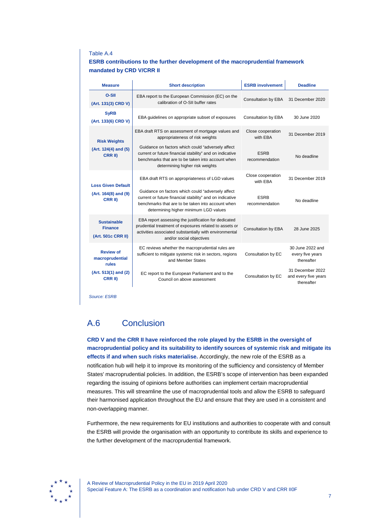#### Table A.4

#### **ESRB contributions to the further development of the macroprudential framework mandated by CRD V/CRR II**

| <b>Measure</b>                                             | <b>Short description</b>                                                                                                                                                                                    | <b>ESRB involvement</b>       | <b>Deadline</b>                                        |
|------------------------------------------------------------|-------------------------------------------------------------------------------------------------------------------------------------------------------------------------------------------------------------|-------------------------------|--------------------------------------------------------|
| O-SII<br>(Art. 131(3) CRD V)                               | EBA report to the European Commission (EC) on the<br>calibration of O-SII buffer rates                                                                                                                      | <b>Consultation by EBA</b>    | 31 December 2020                                       |
| <b>SyRB</b><br>(Art. 133(6) CRD V)                         | EBA guidelines on appropriate subset of exposures                                                                                                                                                           | Consultation by EBA           | 30 June 2020                                           |
| <b>Risk Weights</b>                                        | EBA draft RTS on assessment of mortgage values and<br>appropriateness of risk weights                                                                                                                       | Close cooperation<br>with EBA | 31 December 2019                                       |
| (Art. 124(4) and (5)<br>CRR II)                            | Guidance on factors which could "adversely affect<br>current or future financial stability" and on indicative<br>benchmarks that are to be taken into account when<br>determining higher risk weights       | <b>ESRB</b><br>recommendation | No deadline                                            |
| <b>Loss Given Default</b>                                  | EBA draft RTS on appropriateness of LGD values                                                                                                                                                              | Close cooperation<br>with FRA | 31 December 2019                                       |
| (Art. 164(8) and (9)<br>CRR II)                            | Guidance on factors which could "adversely affect<br>current or future financial stability" and on indicative<br>benchmarks that are to be taken into account when<br>determining higher minimum LGD values | <b>ESRB</b><br>recommendation | No deadline                                            |
| <b>Sustainable</b><br><b>Finance</b><br>(Art. 501c CRR II) | EBA report assessing the justification for dedicated<br>prudential treatment of exposures related to assets or<br>activities associated substantially with environmental<br>and/or social objectives        | Consultation by EBA           | 28 June 2025                                           |
| <b>Review of</b><br>macroprudential<br>rules               | EC reviews whether the macroprudential rules are<br>sufficient to mitigate systemic risk in sectors, regions<br>and Member States                                                                           | Consultation by EC            | 30 June 2022 and<br>every five years<br>thereafter     |
| (Art. 513(1) and (2)<br><b>CRR II)</b>                     | EC report to the European Parliament and to the<br>Council on above assessment                                                                                                                              | Consultation by EC            | 31 December 2022<br>and every five years<br>thereafter |

*Source: ESRB*

## <span id="page-6-0"></span>A.6 Conclusion

**CRD V and the CRR II have reinforced the role played by the ESRB in the oversight of macroprudential policy and its suitability to identify sources of systemic risk and mitigate its effects if and when such risks materialise.** Accordingly, the new role of the ESRB as a notification hub will help it to improve its monitoring of the sufficiency and consistency of Member States' macroprudential policies. In addition, the ESRB's scope of intervention has been expanded regarding the issuing of opinions before authorities can implement certain macroprudential measures. This will streamline the use of macroprudential tools and allow the ESRB to safeguard their harmonised application throughout the EU and ensure that they are used in a consistent and non-overlapping manner.

Furthermore, the new requirements for EU institutions and authorities to cooperate with and consult the ESRB will provide the organisation with an opportunity to contribute its skills and experience to the further development of the macroprudential framework.

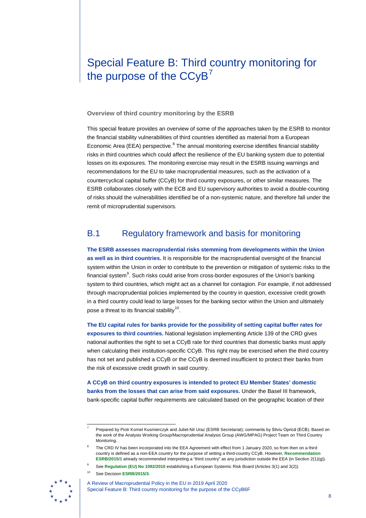## <span id="page-7-0"></span>Special Feature B: Third country monitoring for the purpose of the  $CCyB<sup>7</sup>$  $CCyB<sup>7</sup>$  $CCyB<sup>7</sup>$

**Overview of third country monitoring by the ESRB**

This special feature provides an overview of some of the approaches taken by the ESRB to monitor the financial stability vulnerabilities of third countries identified as material from a European Economic Area (EEA) perspective.<sup>[8](#page-7-2)</sup> The annual monitoring exercise identifies financial stability risks in third countries which could affect the resilience of the EU banking system due to potential losses on its exposures. The monitoring exercise may result in the ESRB issuing warnings and recommendations for the EU to take macroprudential measures, such as the activation of a countercyclical capital buffer (CCyB) for third country exposures, or other similar measures. The ESRB collaborates closely with the ECB and EU supervisory authorities to avoid a double-counting of risks should the vulnerabilities identified be of a non-systemic nature, and therefore fall under the remit of microprudential supervisors.

## <span id="page-7-1"></span>B.1 Regulatory framework and basis for monitoring

**The ESRB assesses macroprudential risks stemming from developments within the Union as well as in third countries.** It is responsible for the macroprudential oversight of the financial system within the Union in order to contribute to the prevention or mitigation of systemic risks to the financial system<sup>[9](#page-7-3)</sup>. Such risks could arise from cross-border exposures of the Union's banking system to third countries, which might act as a channel for contagion. For example, if not addressed through macroprudential policies implemented by the country in question, excessive credit growth in a third country could lead to large losses for the banking sector within the Union and ultimately pose a threat to its financial stability<sup>[10](#page-7-4)</sup>.

**The EU capital rules for banks provide for the possibility of setting capital buffer rates for exposures to third countries.** National legislation implementing Article 139 of the CRD gives national authorities the right to set a CCyB rate for third countries that domestic banks must apply when calculating their institution-specific CCyB. This right may be exercised when the third country has not set and published a CCyB or the CCyB is deemed insufficient to protect their banks from the risk of excessive credit growth in said country.

**A CCyB on third country exposures is intended to protect EU Member States' domestic banks from the losses that can arise from said exposures.** Under the Basel III framework, bank-specific capital buffer requirements are calculated based on the geographic location of their

<span id="page-7-5"></span><span id="page-7-4"></span><span id="page-7-3"></span><span id="page-7-2"></span>See Decision **[ESRB/2015/3](https://www.esrb.europa.eu/pub/pdf/other/Decision_ESRB_2015_3.pdf)**.



A Review of Macroprudential Policy in the EU in 2019 April 2020 Special Feature B: Third country monitoring for the purpose of the CCyB6F

 <sup>7</sup> Prepared by Piotr Kornel Kusmierczyk and Juliet-Nil Uraz (ESRB Secretariat); comments by Silviu Oprică (ECB). Based on the work of the Analysis Working Group/Macroprudential Analysis Group (AWG/MPAG) Project Team on Third Country Monitoring. .

The CRD IV has been incorporated into the EEA Agreement with effect from 1 January 2020, so from then on a third country is defined as a non-EEA country for the purpose of setting a third-country CCyB. However, **[Recommendation](https://eur-lex.europa.eu/legal-content/EN/TXT/?uri=CELEX:32016Y0312(01))  [ESRB/2015/1](https://eur-lex.europa.eu/legal-content/EN/TXT/?uri=CELEX:32016Y0312(01))** already recommended interpreting a "third country" as any jurisdiction outside the EEA (in Section 2(1)(g)).

<sup>9</sup> See **[Regulation \(EU\) No 1092/2010](https://www.esrb.europa.eu/shared/pdf/ESRB-en.pdf)** establishing a European Systemic Risk Board (Articles 3(1) and 3(2)).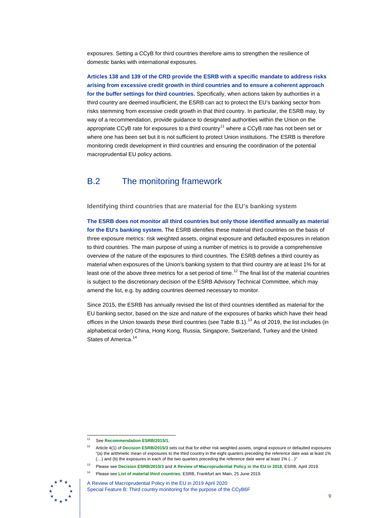exposures. Setting a CCyB for third countries therefore aims to strengthen the resilience of domestic banks with international exposures.

**Articles 138 and 139 of the CRD provide the ESRB with a specific mandate to address risks arising from excessive credit growth in third countries and to ensure a coherent approach for the buffer settings for third countries.** Specifically, when actions taken by authorities in a third country are deemed insufficient, the ESRB can act to protect the EU's banking sector from risks stemming from excessive credit growth in that third country. In particular, the ESRB may, by way of a recommendation, provide guidance to designated authorities within the Union on the appropriate CCyB rate for exposures to a third country<sup>[11](#page-8-1)</sup> where a CCyB rate has not been set or where one has been set but it is not sufficient to protect Union institutions. The ESRB is therefore monitoring credit development in third countries and ensuring the coordination of the potential macroprudential EU policy actions.

## <span id="page-8-0"></span>B.2 The monitoring framework

**Identifying third countries that are material for the EU's banking system**

**The ESRB does not monitor all third countries but only those identified annually as material for the EU's banking system.** The ESRB identifies these material third countries on the basis of three exposure metrics: risk weighted assets, original exposure and defaulted exposures in relation to third countries. The main purpose of using a number of metrics is to provide a comprehensive overview of the nature of the exposures to third countries. The ESRB defines a third country as material when exposures of the Union's banking system to that third country are at least 1% for at least one of the above three metrics for a set period of time.<sup>[12](#page-8-2)</sup> The final list of the material countries is subject to the discretionary decision of the ESRB Advisory Technical Committee, which may amend the list, e.g. by adding countries deemed necessary to monitor.

Since 2015, the ESRB has annually revised the list of third countries identified as material for the EU banking sector, based on the size and nature of the exposures of banks which have their head offices in the Union towards these third countries (see Table B.1).<sup>[13](#page-8-3)</sup> As of 2019, the list includes (in alphabetical order) China, Hong Kong, Russia, Singapore, Switzerland, Turkey and the United States of America.<sup>[14](#page-8-4)</sup>

<span id="page-8-4"></span><span id="page-8-3"></span><span id="page-8-2"></span><span id="page-8-1"></span><sup>14</sup> Please see **[List of material third countries](https://www.esrb.europa.eu/pub/pdf/other/esrb_list_of_material_third_countries.en.pdf)**, ESRB, Frankfurt am Main, 25 June 2019.



A Review of Macroprudential Policy in the EU in 2019 April 2020 Special Feature B: Third country monitoring for the purpose of the CCyB6F

 <sup>11</sup> See **[Recommendation ESRB/2015/1](https://www.esrb.europa.eu/pub/pdf/recommendations/2016/Recommendation_ESRB_2015_1.pdf)**.

<sup>12</sup> Article 4(1) of **[Decision ESRB/2015/3](https://www.esrb.europa.eu/pub/pdf/other/Decision_ESRB_2015_3.pdf)** sets out that for either risk weighted assets, original exposure or defaulted exposures "(a) the arithmetic mean of exposures to the third country in the eight quarters preceding the reference date was at least 1% (…) and (b) the exposures in each of the two quarters preceding the reference date were at least 1% (…)"

<sup>13</sup> Please see **[Decision ESRB/2015/3](https://www.esrb.europa.eu/pub/pdf/other/Decision_ESRB_2015_3.pdf)** and **[A Review of Macroprudential Policy in the EU in 2018](https://www.esrb.europa.eu/pub/pdf/reports/review_macroprudential_policy/esrb.report190430_reviewofmacroprudentialpolicy%7E32aae4bd95.en.pdf?0b21e4503cb0a97287bf4a5397dec754)**, ESRB, April 2019.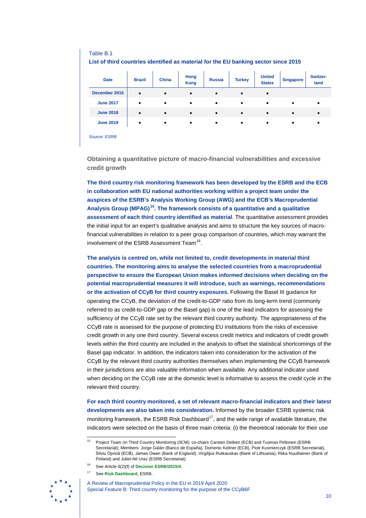| Table B.1                                                                           |               |              |                     |               |               |                                |                  |                  |
|-------------------------------------------------------------------------------------|---------------|--------------|---------------------|---------------|---------------|--------------------------------|------------------|------------------|
| List of third countries identified as material for the EU banking sector since 2015 |               |              |                     |               |               |                                |                  |                  |
| <b>Date</b>                                                                         | <b>Brazil</b> | <b>China</b> | Hong<br><b>Kong</b> | <b>Russia</b> | <b>Turkey</b> | <b>United</b><br><b>States</b> | <b>Singapore</b> | Switzer-<br>land |
| December 2015                                                                       | $\bullet$     | $\bullet$    | $\bullet$           | $\bullet$     | $\bullet$     | $\bullet$                      |                  |                  |
| <b>June 2017</b>                                                                    | $\bullet$     | $\bullet$    | $\bullet$           | $\bullet$     | $\bullet$     | $\bullet$                      | $\bullet$        | $\bullet$        |
| <b>June 2018</b>                                                                    | $\bullet$     | $\bullet$    | $\bullet$           | $\bullet$     | $\bullet$     | $\bullet$                      | $\bullet$        | $\bullet$        |
| <b>June 2019</b>                                                                    | $\bullet$     | $\bullet$    | $\bullet$           | $\bullet$     | $\bullet$     | ٠                              | ٠                | $\bullet$        |
| _____<br>$\sim$                                                                     |               |              |                     |               |               |                                |                  |                  |

*Source: ESRB*

**Obtaining a quantitative picture of macro-financial vulnerabilities and excessive credit growth**

**The third country risk monitoring framework has been developed by the ESRB and the ECB in collaboration with EU national authorities working within a project team under the auspices of the ESRB's Analysis Working Group (AWG) and the ECB's Macroprudential Analysis Group (MPAG)[15.](#page-9-0) The framework consists of a quantitative and a qualitative assessment of each third country identified as material**. The quantitative assessment provides the initial input for an expert's qualitative analysis and aims to structure the key sources of macrofinancial vulnerabilities in relation to a peer group comparison of countries, which may warrant the involvement of the ESRB Assessment Team<sup>[16](#page-9-1)</sup>.

**The analysis is centred on, while not limited to, credit developments in material third countries. The monitoring aims to analyse the selected countries from a macroprudential perspective to ensure the European Union makes informed decisions when deciding on the potential macroprudential measures it will introduce, such as warnings, recommendations or the activation of CCyB for third country exposures.** Following the Basel III guidance for operating the CCyB, the deviation of the credit-to-GDP ratio from its long-term trend (commonly referred to as credit-to-GDP gap or the Basel gap) is one of the lead indicators for assessing the sufficiency of the CCyB rate set by the relevant third country authority. The appropriateness of the CCyB rate is assessed for the purpose of protecting EU institutions from the risks of excessive credit growth in any one third country. Several excess credit metrics and indicators of credit growth levels within the third country are included in the analysis to offset the statistical shortcomings of the Basel gap indicator. In addition, the indicators taken into consideration for the activation of the CCyB by the relevant third country authorities themselves when implementing the CCyB framework in their jurisdictions are also valuable information when available. Any additional indicator used when deciding on the CCyB rate at the domestic level is informative to assess the credit cycle in the relevant third country.

**For each third country monitored, a set of relevant macro-financial indicators and their latest developments are also taken into consideration.** Informed by the broader ESRB systemic risk monitoring framework, the ESRB Risk Dashboard<sup>17</sup>, and the wide range of available literature, the indicators were selected on the basis of three main criteria: (i) the theoretical rationale for their use

<span id="page-9-2"></span><span id="page-9-1"></span><span id="page-9-0"></span>See **[Risk Dashboard](https://www.esrb.europa.eu/pub/rd/html/index.en.html)**, ESRB.



A Review of Macroprudential Policy in the EU in 2019 April 2020 Special Feature B: Third country monitoring for the purpose of the CCyB6F

Project Team on Third Country Monitoring (3CM): co-chairs Carsten Detken (ECB) and Tuomas Peltonen (ESRB Secretariat); Members: Jorge Galán (Banco de España), Domenic Kellner (ECB), Piotr Kusmierczyk (ESRB Secretariat), Silviu Oprică (ECB), James Owen (Bank of England), Virgilijus Rutkauskas (Bank of Lithuania), Riika Nuutilainen (Bank of Finland) and Juliet-Nil Uraz (ESRB Secretariat).

See Article 6(2)(f) of **[Decision ESRB/2015/4](https://www.esrb.europa.eu/pub/pdf/other/Decision_ESRB_2015_4.pdf)**.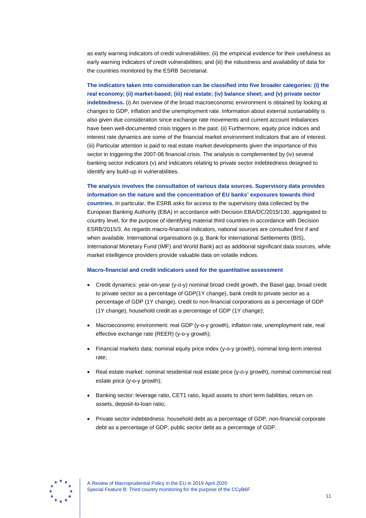as early warning indicators of credit vulnerabilities; (ii) the empirical evidence for their usefulness as early warning indicators of credit vulnerabilities; and (iii) the robustness and availability of data for the countries monitored by the ESRB Secretariat.

**The indicators taken into consideration can be classified into five broader categories: (i) the real economy; (ii) market-based; (iii) real estate; (iv) balance sheet; and (v) private sector indebtedness.** (i) An overview of the broad macroeconomic environment is obtained by looking at changes to GDP, inflation and the unemployment rate. Information about external sustainability is also given due consideration since exchange rate movements and current account imbalances have been well-documented crisis triggers in the past. (ii) Furthermore, equity price indices and interest rate dynamics are some of the financial market environment indicators that are of interest. (iii) Particular attention is paid to real estate market developments given the importance of this sector in triggering the 2007-08 financial crisis. The analysis is complemented by (iv) several banking sector indicators (v) and indicators relating to private sector indebtedness designed to identify any build-up in vulnerabilities.

#### **The analysis involves the consultation of various data sources. Supervisory data provides information on the nature and the concentration of EU banks' exposures towards third**

**countries.** In particular, the ESRB asks for access to the supervisory data collected by the European Banking Authority (EBA) in accordance with Decision EBA/DC/2015/130, aggregated to country level, for the purpose of identifying material third countries in accordance with Decision ESRB/2015/3. As regards macro-financial indicators, national sources are consulted first if and when available. International organisations (e.g. Bank for International Settlements (BIS), International Monetary Fund (IMF) and World Bank) act as additional significant data sources, while market intelligence providers provide valuable data on volatile indices.

#### **Macro-financial and credit indicators used for the quantitative assessment**

- Credit dynamics: year-on-year (y-o-y) nominal broad credit growth, the Basel gap, broad credit to private sector as a percentage of GDP(1Y change), bank credit to private sector as a percentage of GDP (1Y change), credit to non-financial corporations as a percentage of GDP (1Y change), household credit as a percentage of GDP (1Y change);
- Macroeconomic environment: real GDP (y-o-y growth), inflation rate, unemployment rate, real effective exchange rate (REER) (y-o-y growth);
- Financial markets data: nominal equity price index (y-o-y growth), nominal long-term interest rate;
- Real estate market: nominal residential real estate price (y-o-y growth), nominal commercial real estate price (y-o-y growth);
- Banking sector: leverage ratio, CET1 ratio, liquid assets to short term liabilities, return on assets, deposit-to-loan ratio;
- Private sector indebtedness: household debt as a percentage of GDP, non-financial corporate debt as a percentage of GDP, public sector debt as a percentage of GDP.

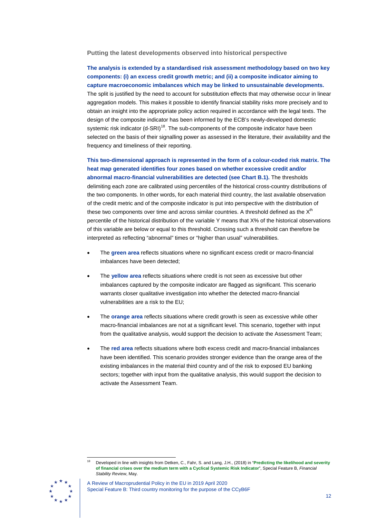**Putting the latest developments observed into historical perspective**

**The analysis is extended by a standardised risk assessment methodology based on two key components: (i) an excess credit growth metric; and (ii) a composite indicator aiming to capture macroeconomic imbalances which may be linked to unsustainable developments.** The split is justified by the need to account for substitution effects that may otherwise occur in linear aggregation models. This makes it possible to identify financial stability risks more precisely and to obtain an insight into the appropriate policy action required in accordance with the legal texts. The design of the composite indicator has been informed by the ECB's newly-developed domestic systemic risk indicator (d-SRI)<sup>[18](#page-11-0)</sup>. The sub-components of the composite indicator have been selected on the basis of their signalling power as assessed in the literature, their availability and the frequency and timeliness of their reporting.

**This two-dimensional approach is represented in the form of a colour-coded risk matrix. The heat map generated identifies four zones based on whether excessive credit and/or abnormal macro-financial vulnerabilities are detected (see Chart B.1).** The thresholds delimiting each zone are calibrated using percentiles of the historical cross-country distributions of the two components. In other words, for each material third country, the last available observation of the credit metric and of the composite indicator is put into perspective with the distribution of these two components over time and across similar countries. A threshold defined as the  $X<sup>th</sup>$ percentile of the historical distribution of the variable Y means that X% of the historical observations of this variable are below or equal to this threshold. Crossing such a threshold can therefore be interpreted as reflecting "abnormal" times or "higher than usual" vulnerabilities.

- The **green area** reflects situations where no significant excess credit or macro-financial imbalances have been detected;
- The **yellow area** reflects situations where credit is not seen as excessive but other imbalances captured by the composite indicator are flagged as significant. This scenario warrants closer qualitative investigation into whether the detected macro-financial vulnerabilities are a risk to the EU;
- The **orange area** reflects situations where credit growth is seen as excessive while other macro-financial imbalances are not at a significant level. This scenario, together with input from the qualitative analysis, would support the decision to activate the Assessment Team;
- The **red area** reflects situations where both excess credit and macro-financial imbalances have been identified. This scenario provides stronger evidence than the orange area of the existing imbalances in the material third country and of the risk to exposed EU banking sectors; together with input from the qualitative analysis, this would support the decision to activate the Assessment Team.

<span id="page-11-0"></span> <sup>18</sup> Developed in line with insights from Detken, C., Fahr, S. and Lang, J.H., (2018) in "**[Predicting the likelihood and severity](https://www.ecb.europa.eu/pub/financial-stability/fsr/special/html/ecb.fsrart201805_2.en.html)  [of financial crises over the medium term with a Cyclical Systemic Risk Indicator](https://www.ecb.europa.eu/pub/financial-stability/fsr/special/html/ecb.fsrart201805_2.en.html)**", Special Feature B, *Financial Stability Review*, May.



A Review of Macroprudential Policy in the EU in 2019 April 2020 Special Feature B: Third country monitoring for the purpose of the CCyB6F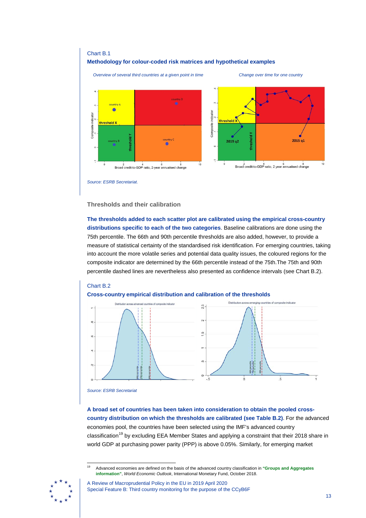

#### **Thresholds and their calibration**

**The thresholds added to each scatter plot are calibrated using the empirical cross-country distributions specific to each of the two categories**. Baseline calibrations are done using the 75th percentile. The 66th and 90th percentile thresholds are also added, however, to provide a measure of statistical certainty of the standardised risk identification. For emerging countries, taking into account the more volatile series and potential data quality issues, the coloured regions for the composite indicator are determined by the 66th percentile instead of the 75th.The 75th and 90th percentile dashed lines are nevertheless also presented as confidence intervals (see Chart B.2).





**A broad set of countries has been taken into consideration to obtain the pooled crosscountry distribution on which the thresholds are calibrated (see Table B.2)**. For the advanced economies pool, the countries have been selected using the IMF's advanced country classification<sup>[19](#page-12-0)</sup> by excluding EEA Member States and applying a constraint that their 2018 share in world GDP at purchasing power parity (PPP) is above 0.05%. Similarly, for emerging market

<span id="page-12-0"></span> <sup>19</sup> Advanced economies are defined on the basis of the advanced country classification in **["Groups and Aggregates](https://www.imf.org/en/Publications/WEO/Issues/2018/09/24/world-economic-outlook-october-2018)  [information"](https://www.imf.org/en/Publications/WEO/Issues/2018/09/24/world-economic-outlook-october-2018)**, *World Economic Outlook*, International Monetary Fund, October 2018.



A Review of Macroprudential Policy in the EU in 2019 April 2020 Special Feature B: Third country monitoring for the purpose of the CCyB6F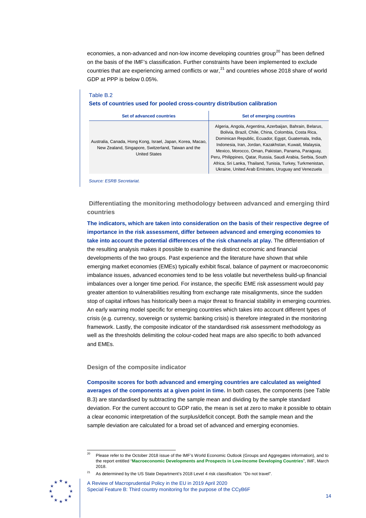economies, a non-advanced and non-low income developing countries group<sup>[20](#page-13-0)</sup> has been defined on the basis of the IMF's classification. Further constraints have been implemented to exclude countries that are experiencing armed conflicts or war,<sup>[21](#page-13-1)</sup> and countries whose 2018 share of world GDP at PPP is below 0.05%.

| Sets of countries used for pooled cross-country distribution calibration                                                                  |                                                                                                                                                                                                                                                                                                                                                                                                                                                                                    |  |  |  |  |  |  |  |
|-------------------------------------------------------------------------------------------------------------------------------------------|------------------------------------------------------------------------------------------------------------------------------------------------------------------------------------------------------------------------------------------------------------------------------------------------------------------------------------------------------------------------------------------------------------------------------------------------------------------------------------|--|--|--|--|--|--|--|
| Set of advanced countries                                                                                                                 | Set of emerging countries                                                                                                                                                                                                                                                                                                                                                                                                                                                          |  |  |  |  |  |  |  |
| Australia, Canada, Hong Kong, Israel, Japan, Korea, Macao,<br>New Zealand, Singapore, Switzerland, Taiwan and the<br><b>United States</b> | Algeria, Angola, Argentina, Azerbaijan, Bahrain, Belarus,<br>Bolivia, Brazil, Chile, China, Colombia, Costa Rica,<br>Dominican Republic, Ecuador, Egypt, Guatemala, India,<br>Indonesia, Iran, Jordan, Kazakhstan, Kuwait, Malaysia,<br>Mexico, Morocco, Oman, Pakistan, Panama, Paraguay,<br>Peru, Philippines, Qatar, Russia, Saudi Arabia, Serbia, South<br>Africa, Sri Lanka, Thailand, Tunisia, Turkey, Turkmenistan,<br>Ukraine, United Arab Emirates, Uruguay and Venezuela |  |  |  |  |  |  |  |

# Table B.2

*Source: ESRB Secretariat.*

**Differentiating the monitoring methodology between advanced and emerging third countries**

**The indicators, which are taken into consideration on the basis of their respective degree of importance in the risk assessment, differ between advanced and emerging economies to take into account the potential differences of the risk channels at play.** The differentiation of the resulting analysis makes it possible to examine the distinct economic and financial developments of the two groups. Past experience and the literature have shown that while emerging market economies (EMEs) typically exhibit fiscal, balance of payment or macroeconomic imbalance issues, advanced economies tend to be less volatile but nevertheless build-up financial imbalances over a longer time period. For instance, the specific EME risk assessment would pay greater attention to vulnerabilities resulting from exchange rate misalignments, since the sudden stop of capital inflows has historically been a major threat to financial stability in emerging countries. An early warning model specific for emerging countries which takes into account different types of crisis (e.g. currency, sovereign or systemic banking crisis) is therefore integrated in the monitoring framework. Lastly, the composite indicator of the standardised risk assessment methodology as well as the thresholds delimiting the colour-coded heat maps are also specific to both advanced and EMEs.

#### **Design of the composite indicator**

**Composite scores for both advanced and emerging countries are calculated as weighted averages of the components at a given point in time.** In both cases, the components (see Table B.3) are standardised by subtracting the sample mean and dividing by the sample standard deviation. For the current account to GDP ratio, the mean is set at zero to make it possible to obtain a clear economic interpretation of the surplus/deficit concept. Both the sample mean and the sample deviation are calculated for a broad set of advanced and emerging economies.

<span id="page-13-1"></span><span id="page-13-0"></span><sup>21</sup> As determined by the US State Department's 2018 Level 4 risk classification: "Do not travel".



A Review of Macroprudential Policy in the EU in 2019 April 2020 Special Feature B: Third country monitoring for the purpose of the CCyB6F

 <sup>20</sup> Please refer to the October 2018 issue of the IMF's World Economic Outlook (Groups and Aggregates information), and to the report entitled "**[Macroeconomic Developments and Prospects in Low-Income Developing Countries](https://www.imf.org/en/Publications/Policy-Papers/Issues/2018/03/22/pp021518macroeconomic-developments-and-prospects-in-lidcs)**", IMF, March 2018.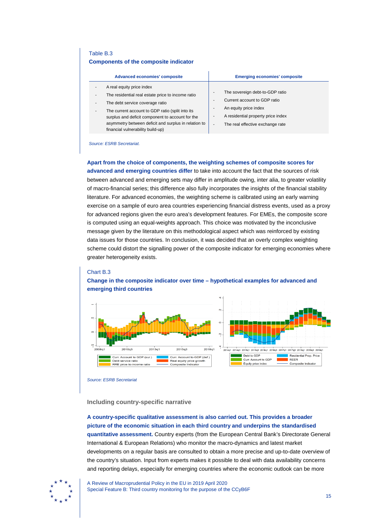#### Table B.3 **Components of the composite indicator**

| A real equity price index<br>The sovereign debt-to-GDP ratio<br>The residential real estate price to income ratio<br>Current account to GDP ratio<br>The debt service coverage ratio<br>An equity price index<br>The current account to GDP ratio (split into its<br>۰<br>A residential property price index | Advanced economies' composite                    | <b>Emerging economies' composite</b> |
|--------------------------------------------------------------------------------------------------------------------------------------------------------------------------------------------------------------------------------------------------------------------------------------------------------------|--------------------------------------------------|--------------------------------------|
| asymmetry between deficit and surplus in relation to<br>The real effective exchange rate<br>$\overline{\phantom{0}}$<br>financial vulnerability build-up)                                                                                                                                                    | surplus and deficit component to account for the |                                      |

*Source: ESRB Secretariat.*

#### **Apart from the choice of components, the weighting schemes of composite scores for**

**advanced and emerging countries differ** to take into account the fact that the sources of risk between advanced and emerging sets may differ in amplitude owing, inter alia, to greater volatility of macro-financial series; this difference also fully incorporates the insights of the financial stability literature. For advanced economies, the weighting scheme is calibrated using an early warning exercise on a sample of euro area countries experiencing financial distress events, used as a proxy for advanced regions given the euro area's development features. For EMEs, the composite score is computed using an equal-weights approach. This choice was motivated by the inconclusive message given by the literature on this methodological aspect which was reinforced by existing data issues for those countries. In conclusion, it was decided that an overly complex weighting scheme could distort the signalling power of the composite indicator for emerging economies where greater heterogeneity exists.

#### Chart B.3



#### **Change in the composite indicator over time – hypothetical examples for advanced and emerging third countries**

*Source: ESRB Secretariat*

#### **Including country-specific narrative**

**A country-specific qualitative assessment is also carried out. This provides a broader picture of the economic situation in each third country and underpins the standardised quantitative assessment.** Country experts (from the European Central Bank's Directorate General International & European Relations) who monitor the macro-dynamics and latest market developments on a regular basis are consulted to obtain a more precise and up-to-date overview of the country's situation. Input from experts makes it possible to deal with data availability concerns and reporting delays, especially for emerging countries where the economic outlook can be more

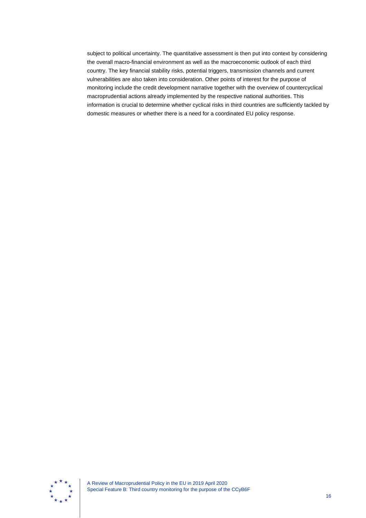subject to political uncertainty. The quantitative assessment is then put into context by considering the overall macro-financial environment as well as the macroeconomic outlook of each third country. The key financial stability risks, potential triggers, transmission channels and current vulnerabilities are also taken into consideration. Other points of interest for the purpose of monitoring include the credit development narrative together with the overview of countercyclical macroprudential actions already implemented by the respective national authorities. This information is crucial to determine whether cyclical risks in third countries are sufficiently tackled by domestic measures or whether there is a need for a coordinated EU policy response.

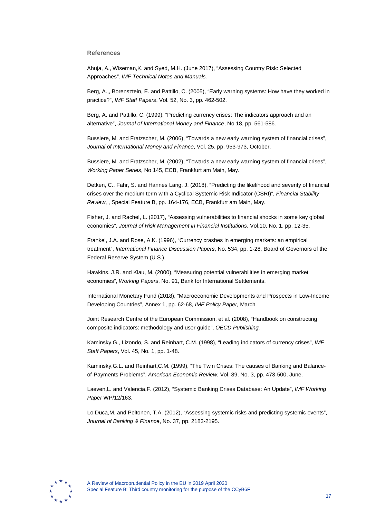#### **References**

Ahuja, A., Wiseman,K. and Syed, M.H. (June 2017), "Assessing Country Risk: Selected Approaches*", IMF Technical Notes and Manuals.*

Berg, A.,, Borensztein, E. and Pattillo, C. (2005), "Early warning systems: How have they worked in practice?", *IMF Staff Papers*, Vol. 52, No. 3, pp. 462-502.

Berg, A. and Pattillo, C. (1999), "Predicting currency crises: The indicators approach and an alternative", *Journal of International Money and Finance*, No 18, pp. 561-586.

Bussiere, M. and Fratzscher, M. (2006), "Towards a new early warning system of financial crises", *Journal of International Money and Finance*, Vol. 25, pp. 953-973, October.

Bussiere, M. and Fratzscher, M. (2002), "Towards a new early warning system of financial crises", *Working Paper Series*, No 145, ECB, Frankfurt am Main, May.

Detken, C., Fahr, S. and Hannes Lang, J. (2018), "Predicting the likelihood and severity of financial crises over the medium term with a Cyclical Systemic Risk Indicator (CSRI)", *Financial Stability Review*, , Special Feature B, pp. 164-176, ECB, Frankfurt am Main, May.

Fisher, J. and Rachel, L. (2017), "Assessing vulnerabilities to financial shocks in some key global economies", *Journal of Risk Management in Financial Institutions*, Vol.10, No. 1, pp. 12-35.

Frankel, J.A. and Rose, A.K. (1996), "Currency crashes in emerging markets: an empirical treatment", *International Finance Discussion Papers*, No. 534, pp. 1-28, Board of Governors of the Federal Reserve System (U.S.).

Hawkins, J.R. and Klau, M. (2000), "Measuring potential vulnerabilities in emerging market economies", *Working Papers*, No. 91, Bank for International Settlements.

International Monetary Fund (2018), "Macroeconomic Developments and Prospects in Low-Income Developing Countries", Annex 1, pp. 62-68*, IMF Policy Paper,* March*.*

Joint Research Centre of the European Commission, et al. (2008), "Handbook on constructing composite indicators: methodology and user guide", *OECD Publishing.*

Kaminsky,G., Lizondo, S. and Reinhart, C.M. (1998), "Leading indicators of currency crises", *IMF Staff Papers*, Vol. 45, No. 1, pp. 1-48.

Kaminsky,G.L. and Reinhart,C.M. (1999), "The Twin Crises: The causes of Banking and Balanceof-Payments Problems", *American Economic Review*, Vol. 89, No. 3, pp. 473-500, June.

Laeven,L. and Valencia,F. (2012), "Systemic Banking Crises Database: An Update", *IMF Working Paper* WP/12/163.

Lo Duca,M. and Peltonen, T.A. (2012), "Assessing systemic risks and predicting systemic events", *Journal of Banking & Finance*, No. 37, pp. 2183-2195.

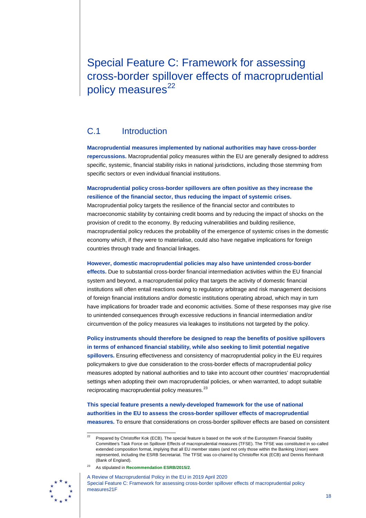<span id="page-17-0"></span>Special Feature C: Framework for assessing cross-border spillover effects of macroprudential policy measures<sup>[22](#page-17-3)</sup>

## <span id="page-17-1"></span>C.1 Introduction

**Macroprudential measures implemented by national authorities may have cross-border repercussions.** Macroprudential policy measures within the EU are generally designed to address specific, systemic, financial stability risks in national jurisdictions, including those stemming from specific sectors or even individual financial institutions.

#### **Macroprudential policy cross-border spillovers are often positive as they increase the resilience of the financial sector, thus reducing the impact of systemic crises.**

Macroprudential policy targets the resilience of the financial sector and contributes to macroeconomic stability by containing credit booms and by reducing the impact of shocks on the provision of credit to the economy. By reducing vulnerabilities and building resilience, macroprudential policy reduces the probability of the emergence of systemic crises in the domestic economy which, if they were to materialise, could also have negative implications for foreign countries through trade and financial linkages.

#### **However, domestic macroprudential policies may also have unintended cross-border**

**effects.** Due to substantial cross-border financial intermediation activities within the EU financial system and beyond, a macroprudential policy that targets the activity of domestic financial institutions will often entail reactions owing to regulatory arbitrage and risk management decisions of foreign financial institutions and/or domestic institutions operating abroad, which may in turn have implications for broader trade and economic activities. Some of these responses may give rise to unintended consequences through excessive reductions in financial intermediation and/or circumvention of the policy measures via leakages to institutions not targeted by the policy.

#### **Policy instruments should therefore be designed to reap the benefits of positive spillovers in terms of enhanced financial stability, while also seeking to limit potential negative**

**spillovers.** Ensuring effectiveness and consistency of macroprudential policy in the EU requires policymakers to give due consideration to the cross-border effects of macroprudential policy measures adopted by national authorities and to take into account other countries' macroprudential settings when adopting their own macroprudential policies, or when warranted, to adopt suitable reciprocating macroprudential policy measures.<sup>[23](#page-17-2)</sup>

#### **This special feature presents a newly-developed framework for the use of national authorities in the EU to assess the cross-border spillover effects of macroprudential measures.** To ensure that considerations on cross-border spillover effects are based on consistent

<sup>23</sup> As stipulated in **[Recommendation ESRB/2015/2](https://www.esrb.europa.eu/pub/pdf/recommendations/2015/ESRB_2015_2.en.pdf)**.



<span id="page-17-3"></span><span id="page-17-2"></span>

<sup>&</sup>lt;sup>22</sup> Prepared by Christoffer Kok (ECB). The special feature is based on the work of the Eurosystem Financial Stability Committee's Task Force on Spillover Effects of macroprudential measures (TFSE). The TFSE was constituted in so-called extended composition format, implying that all EU member states (and not only those within the Banking Union) were represented, including the ESRB Secretariat. The TFSE was co-chaired by Christoffer Kok (ECB) and Dennis Reinhardt (Bank of England).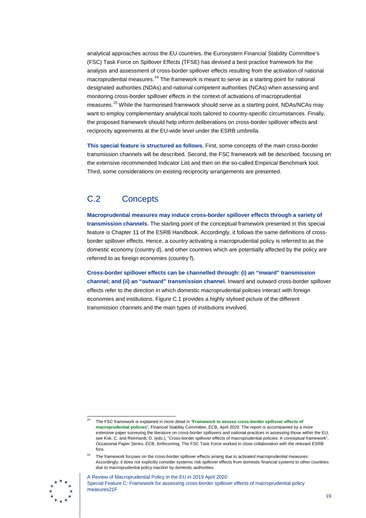analytical approaches across the EU countries, the Eurosystem Financial Stability Committee's (FSC) Task Force on Spillover Effects (TFSE) has devised a best practice framework for the analysis and assessment of cross-border spillover effects resulting from the activation of national macroprudential measures.<sup>[24](#page-18-1)</sup> The framework is meant to serve as a starting point for national designated authorities (NDAs) and national competent authorities (NCAs) when assessing and monitoring cross-border spillover effects in the context of activations of macroprudential measures.<sup>[25](#page-18-2)</sup> While the harmonised framework should serve as a starting point, NDAs/NCAs may want to employ complementary analytical tools tailored to country-specific circumstances. Finally, the proposed framework should help inform deliberations on cross-border spillover effects and reciprocity agreements at the EU-wide level under the ESRB umbrella.

**This special feature is structured as follows.** First, some concepts of the main cross-border transmission channels will be described. Second, the FSC framework will be described, focusing on the extensive recommended Indicator List and then on the so-called Empirical Benchmark tool. Third, some considerations on existing reciprocity arrangements are presented.

## <span id="page-18-0"></span>C.2 Concepts

**Macroprudential measures may induce cross-border spillover effects through a variety of transmission channels.** The starting point of the conceptual framework presented in this special feature is Chapter 11 of the ESRB Handbook. Accordingly, it follows the same definitions of crossborder spillover effects. Hence, a country activating a macroprudential policy is referred to as the domestic economy (country d), and other countries which are potentially affected by the policy are referred to as foreign economies (country f).

**Cross-border spillover effects can be channelled through: (i) an "inward" transmission channel; and (ii) an "outward" transmission channel.** Inward and outward cross-border spillover effects refer to the direction in which domestic macroprudential policies interact with foreign economies and institutions. Figure C.1 provides a highly stylised picture of the different transmission channels and the main types of institutions involved.

<sup>25</sup> The framework focuses on the cross-border spillover effects arising due to activated macroprudential measures. Accordingly, it does not explicitly consider systemic risk spillover effects from domestic financial systems to other countries due to macroprudential policy inaction by domestic authorities.



<span id="page-18-2"></span><span id="page-18-1"></span>

 <sup>24</sup> The FSC framework is explained in more detail in "**[Framework to assess cross-border spillover effects of](https://www.ecb.europa.eu/pub/pdf/other/ecb.200428_framework_to_assess_cross-border_spillovers_of_macroprudential_policies%7E72576c7b4e.en.pdf?2a890b6a78ea5c6481772c8a937a8852)  [macroprudential policies](https://www.ecb.europa.eu/pub/pdf/other/ecb.200428_framework_to_assess_cross-border_spillovers_of_macroprudential_policies%7E72576c7b4e.en.pdf?2a890b6a78ea5c6481772c8a937a8852)**", Financial Stability Committee, ECB, April 2020. The report is accompanied by a more extensive paper surveying the literature on cross-border spillovers and national practices in assessing those within the EU; see Kok, C. and Reinhardt, D. (eds.), "Cross-border spillover effects of macroprudential policies: A conceptual framework", *Occasional Paper Series*, ECB, forthcoming. The FSC Task Force worked in close collaboration with the relevant ESRB fora.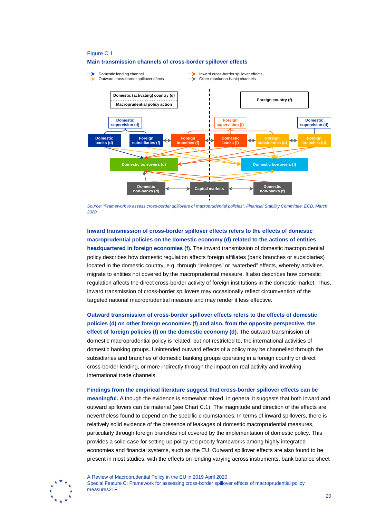

*Source: "Framework to assess cross-border spillovers of macroprudential policies", Financial Stability Committee, ECB, March 2020.*

## **Inward transmission of cross-border spillover effects refers to the effects of domestic macroprudential policies on the domestic economy (d) related to the actions of entities headquartered in foreign economies (f).** The inward transmission of domestic macroprudential policy describes how domestic regulation affects foreign affiliates (bank branches or subsidiaries) located in the domestic country, e.g. through "leakages" or "waterbed" effects, whereby activities migrate to entities not covered by the macroprudential measure. It also describes how domestic regulation affects the direct cross-border activity of foreign institutions in the domestic market. Thus, inward transmission of cross-border spillovers may occasionally reflect circumvention of the targeted national macroprudential measure and may render it less effective.

**Outward transmission of cross-border spillover effects refers to the effects of domestic policies (d) on other foreign economies (f) and also, from the opposite perspective, the effect of foreign policies (f) on the domestic economy (d).** The outward transmission of domestic macroprudential policy is related, but not restricted to, the international activities of domestic banking groups. Unintended outward effects of a policy may be channelled through the subsidiaries and branches of domestic banking groups operating in a foreign country or direct cross-border lending, or more indirectly through the impact on real activity and involving international trade channels.

#### **Findings from the empirical literature suggest that cross-border spillover effects can be**

**meaningful.** Although the evidence is somewhat mixed, in general it suggests that both inward and outward spillovers can be material (see Chart C.1). The magnitude and direction of the effects are nevertheless found to depend on the specific circumstances. In terms of inward spillovers, there is relatively solid evidence of the presence of leakages of domestic macroprudential measures, particularly through foreign branches not covered by the implementation of domestic policy. This provides a solid case for setting up policy reciprocity frameworks among highly integrated economies and financial systems, such as the EU. Outward spillover effects are also found to be present in most studies, with the effects on lending varying across instruments, bank balance sheet

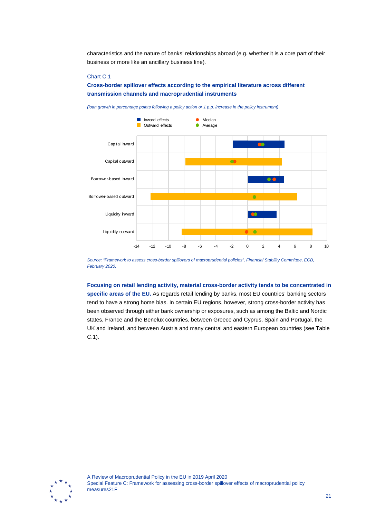characteristics and the nature of banks' relationships abroad (e.g. whether it is a core part of their business or more like an ancillary business line).

#### Chart C.1

#### **Cross-border spillover effects according to the empirical literature across different transmission channels and macroprudential instruments**



*Source: "Framework to assess cross-border spillovers of macroprudential policies", Financial Stability Committee, ECB, February 2020.*

**Focusing on retail lending activity, material cross-border activity tends to be concentrated in specific areas of the EU.** As regards retail lending by banks, most EU countries' banking sectors tend to have a strong home bias. In certain EU regions, however, strong cross-border activity has been observed through either bank ownership or exposures, such as among the Baltic and Nordic states, France and the Benelux countries, between Greece and Cyprus, Spain and Portugal, the UK and Ireland, and between Austria and many central and eastern European countries (see Table C.1).

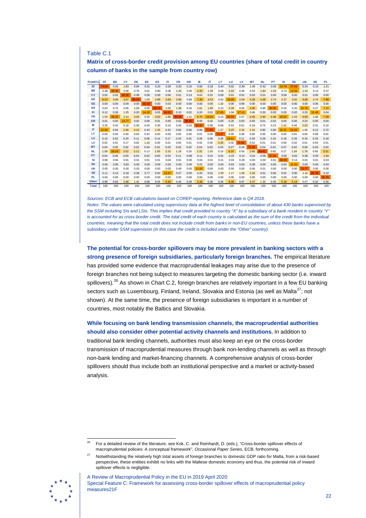Table C.1

**Matrix of cross-border credit provision among EU countries (share of total credit in country column of banks in the sample from country row)**

| From\To        | AT    | <b>BE</b> | CY    | <b>DE</b> | EE.   | ES    | FI    | <b>FR</b> | <b>GR</b> | IE    | IT    | LT    | LU    | LV    | <b>MT</b> | <b>NL</b> | PT    | SI    | <b>SK</b> | <b>UK</b> | <b>SE</b> | <b>PL</b> |
|----------------|-------|-----------|-------|-----------|-------|-------|-------|-----------|-----------|-------|-------|-------|-------|-------|-----------|-----------|-------|-------|-----------|-----------|-----------|-----------|
| <b>AT</b>      | 74.64 | 0.25      | 1.83  | 0.84      | 0.01  | 0.23  | 0.29  | 0.20      | 0.10      | 0.66  | 0.18  | 0.44  | 0.62  | 0.39  | 1.08      | 0.42      | 0.09  | 14.78 | 37.63     | 0.34      | 0.15      | 1.21      |
| <b>BE</b>      | 0.38  | 45.39     | 0.06  | 0.75      | 0.01  | 0.80  | 0.38  | 1.20      | 0.06      | 4.20  | 1.29  | 0.08  | 2.02  | 0.46  | 0.53      | 1.83      | 1.53  | 0.74  | 12.59     | 1.42      | 0.13      | 0.37      |
| CY             | 0.01  | 0.01      | 66.30 | 0.09      | 0.00  | 0.00  | 0.00  | 0.01      | 0.13      | 0.02  | 0.01  | 0.00  | 0.01  | 0.01  | 0.03      | 0.01      | 0.00  | 0.00  | 0.00      | 0.01      | 0.00      | 0.00      |
| DE             | 6.52  | 3.09      | 4.07  | 85.24     | 1.05  | 2.88  | 3.83  | 2.96      | 0.89      | 7.30  | 3.53  | 0.62  | 15.00 | 2.59  | 4.28      | 4.48      | 2.74  | 2.37  | 3.02      | 4.66      | 2.74      | 7.99      |
| EE             | 0.00  | 0.00      | 0.00  | 0.00      | 81.03 | 0.00  | 0.03  | 0.00      | 0.00      | 0.00  | 0.00  | 1.32  | 0.00  | 0.96  | 0.00      | 0.00      | 0.00  | 0.00  | 0.00      | 0.00      | 0.06      | 0.00      |
| ES             | 0.63  | 0.75      | 0.05  | 1.03      | 0.05  | 86.73 | 1.03  | 1.39      | 0.16      | 1.61  | 1.93  | 0.10  | 2.28  | 0.05  | 4.95      | 0.85      | 30.92 | 0.03  | 0.25      | 10.76     | 0.27      | 7.23      |
| <b>FI</b>      | 0.12  | 0.26      | 1.25  | 0.20      | 14.16 | 0.03  | 69.83 | 0.10      | 0.02      | 0.20  | 0.01  | 17.65 | 1.04  | 17.11 | 0.66      | 0.20      | 0.03  | 0.03  | 0.02      | 0.20      | 11.46     | 0.04      |
| <b>FR</b>      | 1.54  | 28.24     | 2.14  | 3.25      | 0.55  | 3.52  | 1.90  | 90.29     | 1.11      | 6.70  | 13.24 | 0.14  | 42.53 | 0.07  | 4.45      | 3.90      | 4.48  | 10.54 | 2.33      | 4.66      | 1.46      | 7.39      |
| <b>GR</b>      | 0.01  | 0.00      | 13.77 | 0.02      | 0.00  | 0.01  | 0.00  | 0.02      | 96.05     | 0.00  | 0.02  | 0.00  | 0.25  | 0.00  | 0.40      | 0.01      | 0.02  | 0.00  | 0.00      | 0.24      | 0.00      | 0.00      |
| IE             | 0.25  | 0.42      | 0.16  | 0.30      | 0.04  | 0.30  | 0.19  | 0.40      | 0.24      | 58.90 | 0.08  | 0.09  | 0.54  | 0.01  | 0.18      | 0.75      | 0.23  | 1.41  | 0.46      | 2.02      | 0.31      | 0.10      |
| $^{\text{IT}}$ | 12.99 | 0.93      | 2.96  | 3.15      | 0.45  | 2.25  | 0.42  | 0.84      | 0.60      | 0.99  | 77.95 | 1.27  | 3.25  | 2.34  | 2.16      | 0.85      | 0.58  | 15.31 | 24.18     | 1.05      | 0.12      | 0.72      |
| LT             | 0.00  | 0.00      | 0.00  | 0.00      | 0.42  | 0.00  | 0.00  | 0.00      | 0.00      | 0.01  | 0.00  | 72.47 | 0.00  | 0.38  | 0.00      | 0.00      | 0.00  | 0.05  | 0.01      | 0.00      | 0.08      | 0.01      |
| LU             | 0.15  | 0.52      | 0.20  | 0.11      | 0.06  | 0.14  | 0.17  | 0.23      | 0.01      | 0.28  | 0.06  | 0.36  | 18.61 | 0.11  | 0.29      | 0.28      | 0.15  | 0.18  | 0.29      | 0.33      | 0.33      | 0.18      |
| LV             | 0.02  | 0.01      | 0.17  | 0.00      | 1.10  | 0.00  | 0.01  | 0.00      | 0.01      | 0.02  | 0.00  | 3.35  | 0.02  | 71.82 | 0.02      | 0.01      | 0.01  | 0.00  | 0.02      | 0.01      | 0.04      | 0.01      |
| <b>MT</b>      | 0.04  | 0.05      | 0.02  | 0.02      | 0.04  | 0.01  | 0.03  | 0.03      | 0.02      | 0.04  | 0.02  | 0.03  | 0.07  | 0.16  | 71.58     | 0.04      | 0.01  | 0.07  | 0.02      | 0.06      | 0.03      | 0.03      |
| <b>NL</b>      | 1.59  | 19.19     | 3.52  | 3.12      | 0.13  | 1.93  | 2.15  | 1.18      | 0.26      | 2.32  | 1.16  | 0.10  | 6.20  | 0.56  | 2.90      | 84.42     | 0.82  | 0.17  | 1.34      | 1.78      | 0.65      | 5.51      |
| <b>PT</b>      | 0.04  | 0.06      | 0.00  | 0.04      | 0.02  | 0.60  | 0.03  | 0.11      | 0.08      | 0.11  | 0.21  | 0.01  | 0.23  | 0.14  | 0.24      | 0.09      | 57.91 | 0.00  | 0.02      | 0.06      | 0.03      | 2.94      |
| SI             | 0.06  | 0.04      | 0.01  | 0.01      | 0.01  | 0.01  | 0.04  | 0.01      | 0.00      | 0.04  | 0.01  | 0.21  | 0.04  | 0.28  | 0.00      | 0.03      | 0.01  | 49.09 | 0.14      | 0.01      | 0.01      | 0.03      |
| <b>SK</b>      | 0.00  | 0.00      | 0.63  | 0.00      | 0.00  | 0.00  | 0.00  | 0.00      | 0.00      | 0.01  | 0.00  | 0.00  | 0.03  | 0.00  | 0.38      | 0.00      | 0.00  | 0.03  | 12.50     | 0.00      | 0.00      | 0.04      |
| <b>UK</b>      | 0.00  | 0.00      | 0.00  | 0.03      | 0.00  | 0.00  | 0.00  | 0.49      | 0.00      | 11.00 | 0.00  | 0.00  | 0.00  | 0.00  | 0.06      | 0.01      | 0.00  | 0.00  | 0.00      | 70.77     | 0.00      | 0.00      |
| <b>SE</b>      | 0.11  | 0.14      | 0.18  | 0.38      | 0.77  | 0.02  | 13.37 | 0.07      | 0.00      | 0.20  | 0.01  | 1.50  | 1.17  | 1.59  | 2.34      | 0.51      | 0.04  | 0.01  | 0.00      | 1.16      | 81.78     | 0.10      |
| <b>PL</b>      | 0.00  | 0.00      | 0.00  | 0.00      | 0.00  | 0.00  | 0.00  | 0.00      | 0.00      | 0.00  | 0.00  | 0.00  | 0.00  | 0.00  | 0.00      | 0.00      | 0.00  | 0.00  | 0.00      | 0.00      | 0.00      | 65.76     |
| <b>Other</b>   | 0.90  | 0.63      | 2.68  | 1.42      | 0.08  | 0.54  | 6.30  | 0.44      | 0.28      | 5.38  | 0.30  | 0.26  | 6.08  | 0.97  | 3.47      | 1.33      | 0.43  | 5.18  | 5.19      | 0.47      | 0.32      | 0.36      |
| <b>Total</b>   | 100   | 100       | 100   | 100       | 100   | 100   | 100   | 100       | 100       | 100   | 100   | 100   | 100   | 100   | 100       | 100       | 100   | 100   | 100       | 100       | 100       | 100       |

*Sources: ECB and ECB calculations based on COREP reporting. Reference date is Q4 2018.*

*Notes: The values were calculated using supervisory data at the highest level of consolidation of about 430 banks supervised by the SSM including SIs and LSIs. This implies that credit provided to country "X" by a subsidiary of a bank resident in country "Y" is accounted for as cross-border credit. The total credit of each country is calculated as the sum of the credit from the individual countries, meaning that the total credit does not include credit from banks in non-EU countries, unless these banks have a subsidiary under SSM supervision (in this case the credit is included under the "Other" country).*

**The potential for cross-border spillovers may be more prevalent in banking sectors with a strong presence of foreign subsidiaries, particularly foreign branches.** The empirical literature has provided some evidence that macroprudential leakages may arise due to the presence of foreign branches not being subject to measures targeting the domestic banking sector (i.e. inward spillovers).<sup>[26](#page-21-0)</sup> As shown in Chart C.2, foreign branches are relatively important in a few EU banking sectors such as Luxembourg, Finland, Ireland, Slovakia and Estonia (as well as Malta<sup>27</sup>; not shown). At the same time, the presence of foreign subsidiaries is important in a number of countries, most notably the Baltics and Slovakia.

#### **While focusing on bank lending transmission channels, the macroprudential authorities should also consider other potential activity channels and institutions.** In addition to

traditional bank lending channels, authorities must also keep an eye on the cross-border transmission of macroprudential measures through bank non-lending channels as well as through non-bank lending and market-financing channels. A comprehensive analysis of cross-border spillovers should thus include both an institutional perspective and a market or activity-based analysis.

<span id="page-21-1"></span><span id="page-21-0"></span><sup>&</sup>lt;sup>27</sup> Notwithstanding the relatively high total assets of foreign branches to domestic GDP ratio for Malta, from a risk-based perspective, these entities exhibit no links with the Maltese domestic economy and thus, the potential risk of inward spillover effects is negligible.



A Review of Macroprudential Policy in the EU in 2019 April 2020 Special Feature C: Framework for assessing cross-border spillover effects of macroprudential policy measures21F

 <sup>26</sup> For a detailed review of the literature, see Kok, C. and Reinhardt, D. (eds.), "Cross-border spillover effects of macroprudential policies: A conceptual framework", *Occasional Paper Series*, ECB, forthcoming.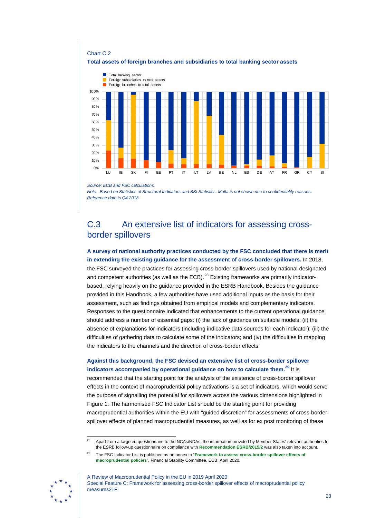

*Source: ECB and FSC calculations.* 

*Note: Based on Statistics of Structural Indicators and BSI Statistics. Malta is not shown due to confidentiality reasons. Reference date is Q4 2018*

## <span id="page-22-0"></span>C.3 An extensive list of indicators for assessing crossborder spillovers

**A survey of national authority practices conducted by the FSC concluded that there is merit in extending the existing guidance for the assessment of cross-border spillovers.** In 2018, the FSC surveyed the practices for assessing cross-border spillovers used by national designated and competent authorities (as well as the ECB). $^{28}$  $^{28}$  $^{28}$  Existing frameworks are primarily indicatorbased, relying heavily on the guidance provided in the ESRB Handbook. Besides the guidance provided in this Handbook, a few authorities have used additional inputs as the basis for their assessment, such as findings obtained from empirical models and complementary indicators. Responses to the questionnaire indicated that enhancements to the current operational guidance should address a number of essential gaps: (i) the lack of guidance on suitable models; (ii) the absence of explanations for indicators (including indicative data sources for each indicator); (iii) the difficulties of gathering data to calculate some of the indicators; and (iv) the difficulties in mapping the indicators to the channels and the direction of cross-border effects.

### **Against this background, the FSC devised an extensive list of cross-border spillover indicators accompanied by operational guidance on how to calculate them. [29](#page-22-2)** It is

recommended that the starting point for the analysis of the existence of cross-border spillover effects in the context of macroprudential policy activations is a set of indicators, which would serve the purpose of signalling the potential for spillovers across the various dimensions highlighted in Figure 1. The harmonised FSC Indicator List should be the starting point for providing macroprudential authorities within the EU with "guided discretion" for assessments of cross-border spillover effects of planned macroprudential measures, as well as for ex post monitoring of these

<span id="page-22-2"></span><span id="page-22-1"></span><sup>&</sup>lt;sup>29</sup> The FSC Indicator List is published as an annex to "**Framework to assess cross-border spillover effects of [macroprudential policies](https://www.ecb.europa.eu/pub/pdf/other/ecb.200428_framework_to_assess_cross-border_spillovers_of_macroprudential_policies%7E72576c7b4e.en.pdf?2a890b6a78ea5c6481772c8a937a8852)**", Financial Stability Committee, ECB, April 2020.



Apart from a targeted questionnaire to the NCAs/NDAs, the information provided by Member States' relevant authorities to the ESRB follow-up questionnaire on compliance with **[Recommendation ESRB/2015/2](https://www.esrb.europa.eu/pub/pdf/recommendations/2015/ESRB_2015_2.en.pdf)** was also taken into account.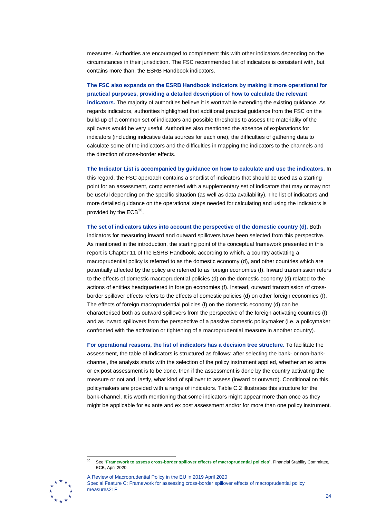measures. Authorities are encouraged to complement this with other indicators depending on the circumstances in their jurisdiction. The FSC recommended list of indicators is consistent with, but contains more than, the ESRB Handbook indicators.

**The FSC also expands on the ESRB Handbook indicators by making it more operational for practical purposes, providing a detailed description of how to calculate the relevant indicators.** The majority of authorities believe it is worthwhile extending the existing guidance. As

regards indicators, authorities highlighted that additional practical guidance from the FSC on the build-up of a common set of indicators and possible thresholds to assess the materiality of the spillovers would be very useful. Authorities also mentioned the absence of explanations for indicators (including indicative data sources for each one), the difficulties of gathering data to calculate some of the indicators and the difficulties in mapping the indicators to the channels and the direction of cross-border effects.

**The Indicator List is accompanied by guidance on how to calculate and use the indicators.** In this regard, the FSC approach contains a shortlist of indicators that should be used as a starting point for an assessment, complemented with a supplementary set of indicators that may or may not be useful depending on the specific situation (as well as data availability). The list of indicators and more detailed guidance on the operational steps needed for calculating and using the indicators is provided by the  $ECB^{30}$  $ECB^{30}$  $ECB^{30}$ .

**The set of indicators takes into account the perspective of the domestic country (d).** Both indicators for measuring inward and outward spillovers have been selected from this perspective. As mentioned in the introduction, the starting point of the conceptual framework presented in this report is Chapter 11 of the ESRB Handbook, according to which, a country activating a macroprudential policy is referred to as the domestic economy (d), and other countries which are potentially affected by the policy are referred to as foreign economies (f). Inward transmission refers to the effects of domestic macroprudential policies (d) on the domestic economy (d) related to the actions of entities headquartered in foreign economies (f). Instead, outward transmission of crossborder spillover effects refers to the effects of domestic policies (d) on other foreign economies (f). The effects of foreign macroprudential policies (f) on the domestic economy (d) can be characterised both as outward spillovers from the perspective of the foreign activating countries (f) and as inward spillovers from the perspective of a passive domestic policymaker (i.e. a policymaker confronted with the activation or tightening of a macroprudential measure in another country).

**For operational reasons, the list of indicators has a decision tree structure.** To facilitate the assessment, the table of indicators is structured as follows: after selecting the bank- or non-bankchannel, the analysis starts with the selection of the policy instrument applied, whether an ex ante or ex post assessment is to be done, then if the assessment is done by the country activating the measure or not and, lastly, what kind of spillover to assess (inward or outward). Conditional on this, policymakers are provided with a range of indicators. Table C.2 illustrates this structure for the bank-channel. It is worth mentioning that some indicators might appear more than once as they might be applicable for ex ante and ex post assessment and/or for more than one policy instrument.

<span id="page-23-0"></span> <sup>30</sup> See "**[Framework to assess cross-border spillover effects of macroprudential policies](https://www.ecb.europa.eu/pub/pdf/other/ecb.200428_framework_to_assess_cross-border_spillovers_of_macroprudential_policies%7E72576c7b4e.en.pdf?2a890b6a78ea5c6481772c8a937a8852)**", Financial Stability Committee*,* ECB, April 2020.



A Review of Macroprudential Policy in the EU in 2019 April 2020 Special Feature C: Framework for assessing cross-border spillover effects of macroprudential policy measures21F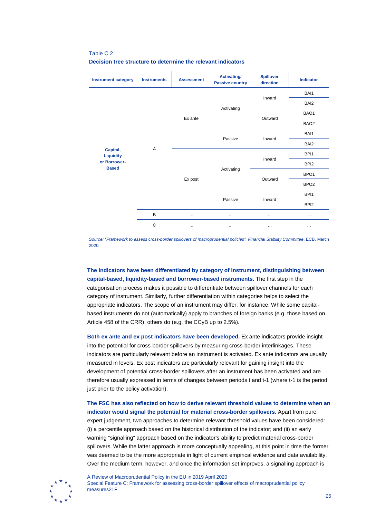**Decision tree structure to determine the relevant indicators Instrument category Instruments Assessment Activating/ Passive country Spillover direction Indicator Capital, Liquidity or Borrower-Based** A Ex ante Activating Inward BAI1 BAI2 Outward B<sub>AO1</sub> BAO<sub>2</sub> Passive Inward BAI1 BAI2 Ex post Activating Inward BPI1 BPI2 Outward BPO1 BPO<sub>2</sub> Passive Inward BPI1 BPI2 **B** … … … … … … … … … C … … … … … … … … … … … …

Table C.2

*Source: "Framework to assess cross-border spillovers of macroprudential policies", Financial Stability Committee*, ECB, March 2020*.*

**The indicators have been differentiated by category of instrument, distinguishing between capital-based, liquidity-based and borrower-based instruments.** The first step in the categorisation process makes it possible to differentiate between spillover channels for each category of instrument. Similarly, further differentiation within categories helps to select the appropriate indicators. The scope of an instrument may differ, for instance. While some capitalbased instruments do not (automatically) apply to branches of foreign banks (e.g. those based on Article 458 of the CRR), others do (e.g. the CCyB up to 2.5%).

**Both ex ante and ex post indicators have been developed.** Ex ante indicators provide insight into the potential for cross-border spillovers by measuring cross-border interlinkages. These indicators are particularly relevant before an instrument is activated. Ex ante indicators are usually measured in levels. Ex post indicators are particularly relevant for gaining insight into the development of potential cross-border spillovers after an instrument has been activated and are therefore usually expressed in terms of changes between periods t and t-1 (where t-1 is the period just prior to the policy activation).

**The FSC has also reflected on how to derive relevant threshold values to determine when an indicator would signal the potential for material cross-border spillovers.** Apart from pure expert judgement, two approaches to determine relevant threshold values have been considered: (i) a percentile approach based on the historical distribution of the indicator; and (ii) an early warning "signalling" approach based on the indicator's ability to predict material cross-border spillovers. While the latter approach is more conceptually appealing, at this point in time the former was deemed to be the more appropriate in light of current empirical evidence and data availability. Over the medium term, however, and once the information set improves, a signalling approach is

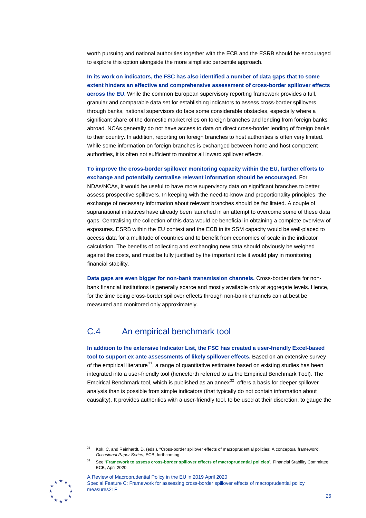worth pursuing and national authorities together with the ECB and the ESRB should be encouraged to explore this option alongside the more simplistic percentile approach.

**In its work on indicators, the FSC has also identified a number of data gaps that to some extent hinders an effective and comprehensive assessment of cross-border spillover effects across the EU.** While the common European supervisory reporting framework provides a full, granular and comparable data set for establishing indicators to assess cross-border spillovers through banks, national supervisors do face some considerable obstacles, especially where a significant share of the domestic market relies on foreign branches and lending from foreign banks abroad. NCAs generally do not have access to data on direct cross-border lending of foreign banks to their country. In addition, reporting on foreign branches to host authorities is often very limited. While some information on foreign branches is exchanged between home and host competent authorities, it is often not sufficient to monitor all inward spillover effects.

**To improve the cross-border spillover monitoring capacity within the EU, further efforts to exchange and potentially centralise relevant information should be encouraged.** For

NDAs/NCAs, it would be useful to have more supervisory data on significant branches to better assess prospective spillovers. In keeping with the need-to-know and proportionality principles, the exchange of necessary information about relevant branches should be facilitated. A couple of supranational initiatives have already been launched in an attempt to overcome some of these data gaps. Centralising the collection of this data would be beneficial in obtaining a complete overview of exposures. ESRB within the EU context and the ECB in its SSM capacity would be well-placed to access data for a multitude of countries and to benefit from economies of scale in the indicator calculation. The benefits of collecting and exchanging new data should obviously be weighed against the costs, and must be fully justified by the important role it would play in monitoring financial stability.

**Data gaps are even bigger for non-bank transmission channels.** Cross-border data for nonbank financial institutions is generally scarce and mostly available only at aggregate levels. Hence, for the time being cross-border spillover effects through non-bank channels can at best be measured and monitored only approximately.

## <span id="page-25-0"></span>C.4 An empirical benchmark tool

**In addition to the extensive Indicator List, the FSC has created a user-friendly Excel-based tool to support ex ante assessments of likely spillover effects.** Based on an extensive survey of the empirical literature $31$ , a range of quantitative estimates based on existing studies has been integrated into a user-friendly tool (henceforth referred to as the Empirical Benchmark Tool). The Empirical Benchmark tool, which is published as an annex $32$ , offers a basis for deeper spillover analysis than is possible from simple indicators (that typically do not contain information about causality). It provides authorities with a user-friendly tool, to be used at their discretion, to gauge the

<span id="page-25-2"></span><span id="page-25-1"></span>A Review of Macroprudential Policy in the EU in 2019 April 2020 Special Feature C: Framework for assessing cross-border spillover effects of macroprudential policy measures21F



<sup>&</sup>lt;sup>31</sup> Kok, C. and Reinhardt, D. (eds.), "Cross-border spillover effects of macroprudential policies: A conceptual framework", *Occasional Paper Series*, ECB, forthcoming.

<sup>32</sup> See "**[Framework to assess cross-border spillover effects of macroprudential policies](https://www.ecb.europa.eu/pub/pdf/other/ecb.200428_framework_to_assess_cross-border_spillovers_of_macroprudential_policies%7E72576c7b4e.en.pdf?2a890b6a78ea5c6481772c8a937a8852)**"*,* Financial Stability Committee, ECB, April 2020.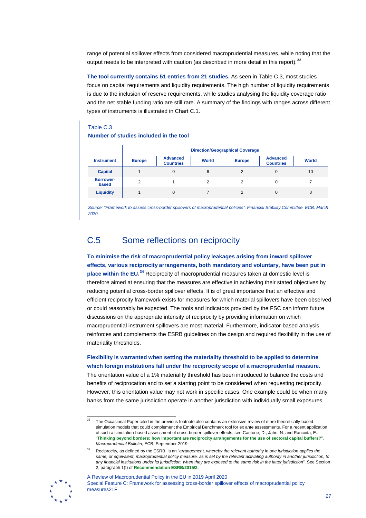range of potential spillover effects from considered macroprudential measures, while noting that the output needs to be interpreted with caution (as described in more detail in this report).<sup>[33](#page-26-1)</sup>

**The tool currently contains 51 entries from 21 studies.** As seen in Table C.3, most studies focus on capital requirements and liquidity requirements. The high number of liquidity requirements is due to the inclusion of reserve requirements, while studies analysing the liquidity coverage ratio and the net stable funding ratio are still rare. A summary of the findings with ranges across different types of instruments is illustrated in Chart C.1.

#### Table C.3

#### **Number of studies included in the tool**

|                           | <b>Direction/Geographical Coverage</b> |                                     |       |               |                                     |       |  |  |  |  |
|---------------------------|----------------------------------------|-------------------------------------|-------|---------------|-------------------------------------|-------|--|--|--|--|
| <b>Instrument</b>         | <b>Europe</b>                          | <b>Advanced</b><br><b>Countries</b> | World | <b>Europe</b> | <b>Advanced</b><br><b>Countries</b> | World |  |  |  |  |
| <b>Capital</b>            |                                        | $\Omega$                            | 6     | 2             | 0                                   | 10    |  |  |  |  |
| <b>Borrower-</b><br>based | $\overline{2}$                         |                                     |       | 2             | 0                                   |       |  |  |  |  |
| <b>Liquidity</b>          |                                        | $\Omega$                            |       |               | 0                                   | 8     |  |  |  |  |

*Source: "Framework to assess cross-border spillovers of macroprudential policies", Financial Stability Committee, ECB, March 2020.*

## <span id="page-26-0"></span>C.5 Some reflections on reciprocity

**To minimise the risk of macroprudential policy leakages arising from inward spillover effects, various reciprocity arrangements, both mandatory and voluntary, have been put in place within the EU.[34](#page-26-2)** Reciprocity of macroprudential measures taken at domestic level is therefore aimed at ensuring that the measures are effective in achieving their stated objectives by reducing potential cross-border spillover effects. It is of great importance that an effective and efficient reciprocity framework exists for measures for which material spillovers have been observed or could reasonably be expected. The tools and indicators provided by the FSC can inform future discussions on the appropriate intensity of reciprocity by providing information on which macroprudential instrument spillovers are most material. Furthermore, indicator-based analysis reinforces and complements the ESRB guidelines on the design and required flexibility in the use of materiality thresholds.

**Flexibility is warranted when setting the materiality threshold to be applied to determine which foreign institutions fall under the reciprocity scope of a macroprudential measure.** The orientation value of a 1% materiality threshold has been introduced to balance the costs and benefits of reciprocation and to set a starting point to be considered when requesting reciprocity. However, this orientation value may not work in specific cases. One example could be when many banks from the same jurisdiction operate in another jurisdiction with individually small exposures

<sup>34</sup> Reciprocity, as defined by the ESRB, is an "*arrangement, whereby the relevant authority in one jurisdiction applies the same, or equivalent, macroprudential policy measure, as is set by the relevant activating authority in another jurisdiction, to any financial institutions under its jurisdiction, when they are exposed to the same risk in the latter jurisdiction*". See Section 2, paragraph 1(f) of **[Recommendation ESRB/2015/2](https://www.esrb.europa.eu/pub/pdf/recommendations/2015/ESRB_2015_2.en.pdf)**.



<span id="page-26-2"></span><span id="page-26-1"></span>

<sup>&</sup>lt;sup>33</sup> The Occasional Paper cited in the previous footnote also contains an extensive review of more theoretically-based simulation models that could complement the Empirical Benchmark tool for ex ante assessments. For a recent application of such a simulation-based assessment of cross-border spillover effects, see Cantone, D., Jahn, N. and Rancoita, E., "**[Thinking beyond borders: how important are reciprocity arrangements for the use of sectoral capital buffers?](https://www.ecb.europa.eu/pub/financial-stability/macroprudential-bulletin/html/ecb.mpbu201909_02%7E2c474f05ba.en.html#toc1)**", *Macroprudential Bulletin*, ECB, September 2019.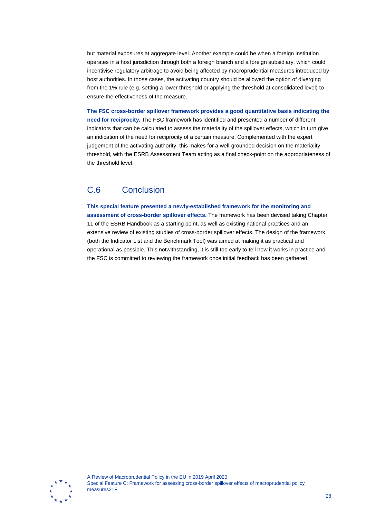but material exposures at aggregate level. Another example could be when a foreign institution operates in a host jurisdiction through both a foreign branch and a foreign subsidiary, which could incentivise regulatory arbitrage to avoid being affected by macroprudential measures introduced by host authorities. In those cases, the activating country should be allowed the option of diverging from the 1% rule (e.g. setting a lower threshold or applying the threshold at consolidated level) to ensure the effectiveness of the measure.

**The FSC cross-border spillover framework provides a good quantitative basis indicating the need for reciprocity.** The FSC framework has identified and presented a number of different indicators that can be calculated to assess the materiality of the spillover effects, which in turn give an indication of the need for reciprocity of a certain measure. Complemented with the expert judgement of the activating authority, this makes for a well-grounded decision on the materiality threshold, with the ESRB Assessment Team acting as a final check-point on the appropriateness of the threshold level.

## <span id="page-27-0"></span>C.6 Conclusion

**This special feature presented a newly-established framework for the monitoring and assessment of cross-border spillover effects.** The framework has been devised taking Chapter 11 of the ESRB Handbook as a starting point, as well as existing national practices and an extensive review of existing studies of cross-border spillover effects. The design of the framework (both the Indicator List and the Benchmark Tool) was aimed at making it as practical and operational as possible. This notwithstanding, it is still too early to tell how it works in practice and the FSC is committed to reviewing the framework once initial feedback has been gathered.

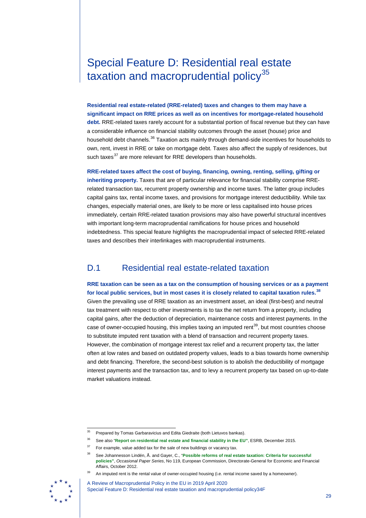## <span id="page-28-0"></span>Special Feature D: Residential real estate taxation and macroprudential policy $35$

**Residential real estate-related (RRE-related) taxes and changes to them may have a significant impact on RRE prices as well as on incentives for mortgage-related household debt.** RRE-related taxes rarely account for a substantial portion of fiscal revenue but they can have a considerable influence on financial stability outcomes through the asset (house) price and household debt channels.<sup>[36](#page-28-2)</sup> Taxation acts mainly through demand-side incentives for households to own, rent, invest in RRE or take on mortgage debt. Taxes also affect the supply of residences, but such taxes<sup>[37](#page-28-3)</sup> are more relevant for RRE developers than households.

**RRE-related taxes affect the cost of buying, financing, owning, renting, selling, gifting or inheriting property.** Taxes that are of particular relevance for financial stability comprise RRErelated transaction tax, recurrent property ownership and income taxes. The latter group includes capital gains tax, rental income taxes, and provisions for mortgage interest deductibility. While tax changes, especially material ones, are likely to be more or less capitalised into house prices immediately, certain RRE-related taxation provisions may also have powerful structural incentives with important long-term macroprudential ramifications for house prices and household indebtedness. This special feature highlights the macroprudential impact of selected RRE-related taxes and describes their interlinkages with macroprudential instruments.

## <span id="page-28-1"></span>D.1 Residential real estate-related taxation

**RRE taxation can be seen as a tax on the consumption of housing services or as a payment for local public services, but in most cases it is closely related to capital taxation rules.[38](#page-28-4)**

Given the prevailing use of RRE taxation as an investment asset, an ideal (first-best) and neutral tax treatment with respect to other investments is to tax the net return from a property, including capital gains, after the deduction of depreciation, maintenance costs and interest payments. In the case of owner-occupied housing, this implies taxing an imputed rent<sup>[39](#page-28-5)</sup>, but most countries choose to substitute imputed rent taxation with a blend of transaction and recurrent property taxes. However, the combination of mortgage interest tax relief and a recurrent property tax, the latter often at low rates and based on outdated property values, leads to a bias towards home ownership and debt financing. Therefore, the second-best solution is to abolish the deductibility of mortgage interest payments and the transaction tax, and to levy a recurrent property tax based on up-to-date market valuations instead.

<span id="page-28-6"></span><span id="page-28-5"></span><span id="page-28-4"></span><span id="page-28-3"></span><span id="page-28-2"></span><sup>39</sup> An imputed rent is the rental value of owner-occupied housing (i.e. rental income saved by a homeowner).



A Review of Macroprudential Policy in the EU in 2019 April 2020 Special Feature D: Residential real estate taxation and macroprudential policy34F

<sup>&</sup>lt;sup>35</sup> Prepared by Tomas Garbaravicius and Edita Giedraite (both Lietuvos bankas).

<sup>36</sup> See also "**[Report on residential real estate and financial stability in the](https://www.esrb.europa.eu/pub/pdf/other/2015-12-28_ESRB_report_on_residential_real_estate_andfinancial_stability.pdf) EU"**, ESRB, December 2015.

 $37$  For example, value added tax for the sale of new buildings or vacancy tax.

<sup>38</sup> See Johannesson Lindén, Å. and Gayer, C., "**[Possible reforms of real estate taxation: Criteria for successful](https://ec.europa.eu/economy_finance/publications/occasional_paper/2012/pdf/ocp119_en.pdf)  [policies"](https://ec.europa.eu/economy_finance/publications/occasional_paper/2012/pdf/ocp119_en.pdf)**, *Occasional Paper Series*, No 119, European Commission, Directorate-General for Economic and Financial Affairs, October 2012.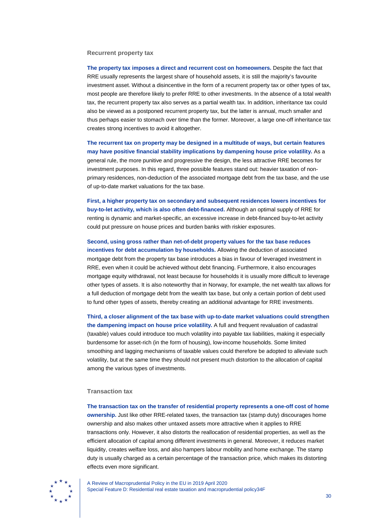#### **Recurrent property tax**

**The property tax imposes a direct and recurrent cost on homeowners.** Despite the fact that RRE usually represents the largest share of household assets, it is still the majority's favourite investment asset. Without a disincentive in the form of a recurrent property tax or other types of tax, most people are therefore likely to prefer RRE to other investments. In the absence of a total wealth tax, the recurrent property tax also serves as a partial wealth tax. In addition, inheritance tax could also be viewed as a postponed recurrent property tax, but the latter is annual, much smaller and thus perhaps easier to stomach over time than the former. Moreover, a large one-off inheritance tax creates strong incentives to avoid it altogether.

**The recurrent tax on property may be designed in a multitude of ways, but certain features may have positive financial stability implications by dampening house price volatility.** As a general rule, the more punitive and progressive the design, the less attractive RRE becomes for investment purposes. In this regard, three possible features stand out: heavier taxation of nonprimary residences, non-deduction of the associated mortgage debt from the tax base, and the use of up-to-date market valuations for the tax base.

**First, a higher property tax on secondary and subsequent residences lowers incentives for buy-to-let activity, which is also often debt-financed.** Although an optimal supply of RRE for renting is dynamic and market-specific, an excessive increase in debt-financed buy-to-let activity could put pressure on house prices and burden banks with riskier exposures.

**Second, using gross rather than net-of-debt property values for the tax base reduces incentives for debt accumulation by households.** Allowing the deduction of associated mortgage debt from the property tax base introduces a bias in favour of leveraged investment in RRE, even when it could be achieved without debt financing. Furthermore, it also encourages mortgage equity withdrawal, not least because for households it is usually more difficult to leverage other types of assets. It is also noteworthy that in Norway, for example, the net wealth tax allows for a full deduction of mortgage debt from the wealth tax base, but only a certain portion of debt used to fund other types of assets, thereby creating an additional advantage for RRE investments.

**Third, a closer alignment of the tax base with up-to-date market valuations could strengthen the dampening impact on house price volatility.** A full and frequent revaluation of cadastral (taxable) values could introduce too much volatility into payable tax liabilities, making it especially burdensome for asset-rich (in the form of housing), low-income households. Some limited smoothing and lagging mechanisms of taxable values could therefore be adopted to alleviate such volatility, but at the same time they should not present much distortion to the allocation of capital among the various types of investments.

#### **Transaction tax**

**The transaction tax on the transfer of residential property represents a one-off cost of home ownership.** Just like other RRE-related taxes, the transaction tax (stamp duty) discourages home ownership and also makes other untaxed assets more attractive when it applies to RRE transactions only. However, it also distorts the reallocation of residential properties, as well as the efficient allocation of capital among different investments in general. Moreover, it reduces market liquidity, creates welfare loss, and also hampers labour mobility and home exchange. The stamp duty is usually charged as a certain percentage of the transaction price, which makes its distorting effects even more significant.

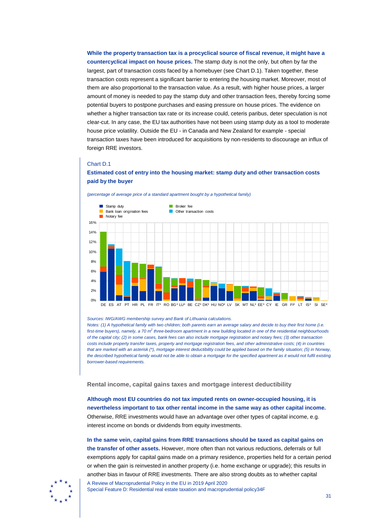**While the property transaction tax is a procyclical source of fiscal revenue, it might have a countercyclical impact on house prices.** The stamp duty is not the only, but often by far the largest, part of transaction costs faced by a homebuyer (see Chart D.1). Taken together, these transaction costs represent a significant barrier to entering the housing market. Moreover, most of them are also proportional to the transaction value. As a result, with higher house prices, a larger amount of money is needed to pay the stamp duty and other transaction fees, thereby forcing some potential buyers to postpone purchases and easing pressure on house prices. The evidence on whether a higher transaction tax rate or its increase could, ceteris paribus, deter speculation is not clear-cut. In any case, the EU tax authorities have not been using stamp duty as a tool to moderate house price volatility. Outside the EU - in Canada and New Zealand for example - special transaction taxes have been introduced for acquisitions by non-residents to discourage an influx of foreign RRE investors.

#### Chart D.1

#### **Estimated cost of entry into the housing market: stamp duty and other transaction costs paid by the buyer**



*(percentage of average price of a standard apartment bought by a hypothetical family)*

*Notes: (1) A hypothetical family with two children; both parents earn an average salary and decide to buy their first home (i.e. first-time buyers), namely, a 70 m*<sup>2</sup> *three-bedroom apartment in a new building located in one of the residential neighbourhoods of the capital city; (2) in some cases, bank fees can also include mortgage registration and notary fees; (3) other transaction costs include property transfer taxes, property and mortgage registration fees, and other administrative costs; (4) in countries that are marked with an asterisk (\*), mortgage interest deductibility could be applied based on the family situation; (5) in Norway, the described hypothetical family would not be able to obtain a mortgage for the specified apartment as it would not fulfil existing borrower-based requirements.*

**Rental income, capital gains taxes and mortgage interest deductibility**

**Although most EU countries do not tax imputed rents on owner-occupied housing, it is nevertheless important to tax other rental income in the same way as other capital income.**  Otherwise, RRE investments would have an advantage over other types of capital income, e.g. interest income on bonds or dividends from equity investments.

**In the same vein, capital gains from RRE transactions should be taxed as capital gains on the transfer of other assets.** However, more often than not various reductions, deferrals or full exemptions apply for capital gains made on a primary residence, properties held for a certain period or when the gain is reinvested in another property (i.e. home exchange or upgrade); this results in another bias in favour of RRE investments. There are also strong doubts as to whether capital



A Review of Macroprudential Policy in the EU in 2019 April 2020 Special Feature D: Residential real estate taxation and macroprudential policy34F

*Sources: IWG/AWG membership survey and Bank of Lithuania calculations.*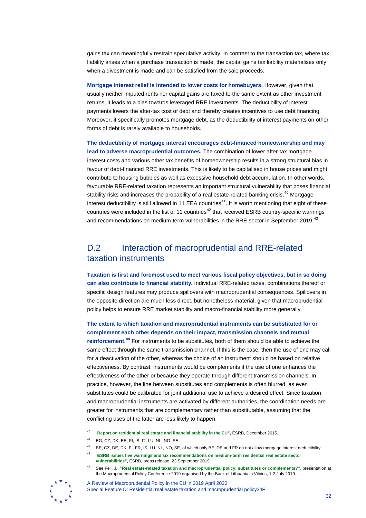gains tax can meaningfully restrain speculative activity. In contrast to the transaction tax, where tax liability arises when a purchase transaction is made, the capital gains tax liability materialises only when a divestment is made and can be satisfied from the sale proceeds.

**Mortgage interest relief is intended to lower costs for homebuyers.** However, given that usually neither imputed rents nor capital gains are taxed to the same extent as other investment returns, it leads to a bias towards leveraged RRE investments. The deductibility of interest payments lowers the after-tax cost of debt and thereby creates incentives to use debt financing. Moreover, it specifically promotes mortgage debt, as the deductibility of interest payments on other forms of debt is rarely available to households.

**The deductibility of mortgage interest encourages debt-financed homeownership and may lead to adverse macroprudential outcomes.** The combination of lower after-tax mortgage interest costs and various other tax benefits of homeownership results in a strong structural bias in favour of debt-financed RRE investments. This is likely to be capitalised in house prices and might contribute to housing bubbles as well as excessive household debt accumulation. In other words, favourable RRE-related taxation represents an important structural vulnerability that poses financial stability risks and increases the probability of a real estate-related banking crisis.<sup>[40](#page-31-1)</sup> Mortgage interest deductibility is still allowed in 11 EEA countries<sup>41</sup>. It is worth mentioning that eight of these countries were included in the list of 11 countries<sup>[42](#page-31-3)</sup> that received ESRB country-specific warnings and recommendations on medium-term vulnerabilities in the RRE sector in September 2019.<sup>[43](#page-31-4)</sup>

## <span id="page-31-0"></span>D.2 Interaction of macroprudential and RRE-related taxation instruments

**Taxation is first and foremost used to meet various fiscal policy objectives, but in so doing can also contribute to financial stability.** Individual RRE-related taxes, combinations thereof or specific design features may produce spillovers with macroprudential consequences. Spillovers in the opposite direction are much less direct, but nonetheless material, given that macroprudential policy helps to ensure RRE market stability and macro-financial stability more generally.

**The extent to which taxation and macroprudential instruments can be substituted for or complement each other depends on their impact, transmission channels and mutual reinforcement.[44](#page-31-5)** For instruments to be substitutes, both of them should be able to achieve the same effect through the same transmission channel. If this is the case, then the use of one may call for a deactivation of the other, whereas the choice of an instrument should be based on relative effectiveness. By contrast, instruments would be complements if the use of one enhances the effectiveness of the other or because they operate through different transmission channels. In practice, however, the line between substitutes and complements is often blurred, as even substitutes could be calibrated for joint additional use to achieve a desired effect. Since taxation and macroprudential instruments are activated by different authorities, the coordination needs are greater for instruments that are complementary rather than substitutable, assuming that the conflicting uses of the latter are less likely to happen.

<span id="page-31-5"></span><span id="page-31-4"></span><span id="page-31-3"></span><span id="page-31-2"></span><span id="page-31-1"></span><sup>44</sup> See Fell, J., **["Real estate-related taxation and macroprudential policy: substitutes or complements?"](https://www.lb.lt/uploads/documents/files/Fell.pdf)**, presentation at the Macroprudential Policy Conference 2019 organised by the Bank of Lithuania in Vilnius, 1-2 July 2019.



A Review of Macroprudential Policy in the EU in 2019 April 2020 Special Feature D: Residential real estate taxation and macroprudential policy34F

 <sup>40</sup> "**[Report on residential real estate and financial stability in the EU"](https://www.esrb.europa.eu/pub/pdf/other/2015-12-28_ESRB_report_on_residential_real_estate_andfinancial_stability.pdf)**, ESRB, December 2015.

 $41$  BG, CZ, DK, FF, FL, IS, IT, LU, NL, NO, SF.

<sup>42</sup> BE, CZ, DE, DK, FI, FR, IS, LU, NL, NO, SE, of which only BE, DE and FR do not allow mortgage interest deductibility.

<sup>43</sup> "**[ESRB issues five warnings and six recommendations on medium-term residential real estate sector](https://www.esrb.europa.eu/news/pr/date/2019/html/esrb.pr190923%7E75f4b1856d.en.html)  [vulnerabilities"](https://www.esrb.europa.eu/news/pr/date/2019/html/esrb.pr190923%7E75f4b1856d.en.html)**, ESRB, press release, 23 September 2019.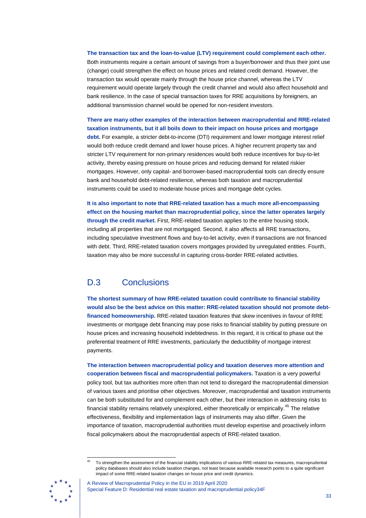**The transaction tax and the loan-to-value (LTV) requirement could complement each other.**  Both instruments require a certain amount of savings from a buyer/borrower and thus their joint use (change) could strengthen the effect on house prices and related credit demand. However, the transaction tax would operate mainly through the house price channel, whereas the LTV requirement would operate largely through the credit channel and would also affect household and bank resilience. In the case of special transaction taxes for RRE acquisitions by foreigners, an additional transmission channel would be opened for non-resident investors.

**There are many other examples of the interaction between macroprudential and RRE-related taxation instruments, but it all boils down to their impact on house prices and mortgage**  debt. For example, a stricter debt-to-income (DTI) requirement and lower mortgage interest relief would both reduce credit demand and lower house prices. A higher recurrent property tax and stricter LTV requirement for non-primary residences would both reduce incentives for buy-to-let activity, thereby easing pressure on house prices and reducing demand for related riskier mortgages. However, only capital- and borrower-based macroprudential tools can directly ensure bank and household debt-related resilience, whereas both taxation and macroprudential instruments could be used to moderate house prices and mortgage debt cycles.

**It is also important to note that RRE-related taxation has a much more all-encompassing effect on the housing market than macroprudential policy, since the latter operates largely through the credit market.** First, RRE-related taxation applies to the entire housing stock, including all properties that are not mortgaged. Second, it also affects all RRE transactions, including speculative investment flows and buy-to-let activity, even if transactions are not financed with debt. Third, RRE-related taxation covers mortgages provided by unregulated entities. Fourth, taxation may also be more successful in capturing cross-border RRE-related activities.

## <span id="page-32-0"></span>D.3 Conclusions

**The shortest summary of how RRE-related taxation could contribute to financial stability would also be the best advice on this matter: RRE-related taxation should not promote debtfinanced homeownership.** RRE-related taxation features that skew incentives in favour of RRE investments or mortgage debt financing may pose risks to financial stability by putting pressure on house prices and increasing household indebtedness. In this regard, it is critical to phase out the preferential treatment of RRE investments, particularly the deductibility of mortgage interest payments.

**The interaction between macroprudential policy and taxation deserves more attention and cooperation between fiscal and macroprudential policymakers.** Taxation is a very powerful policy tool, but tax authorities more often than not tend to disregard the macroprudential dimension of various taxes and prioritise other objectives. Moreover, macroprudential and taxation instruments can be both substituted for and complement each other, but their interaction in addressing risks to financial stability remains relatively unexplored, either theoretically or empirically.<sup>[45](#page-32-1)</sup> The relative effectiveness, flexibility and implementation lags of instruments may also differ. Given the importance of taxation, macroprudential authorities must develop expertise and proactively inform fiscal policymakers about the macroprudential aspects of RRE-related taxation.

<span id="page-32-1"></span> <sup>45</sup> To strengthen the assessment of the financial stability implications of various RRE-related tax measures, macroprudential policy databases should also include taxation changes, not least because available research points to a quite significant impact of some RRE-related taxation changes on house price and credit dynamics.



A Review of Macroprudential Policy in the EU in 2019 April 2020 Special Feature D: Residential real estate taxation and macroprudential policy34F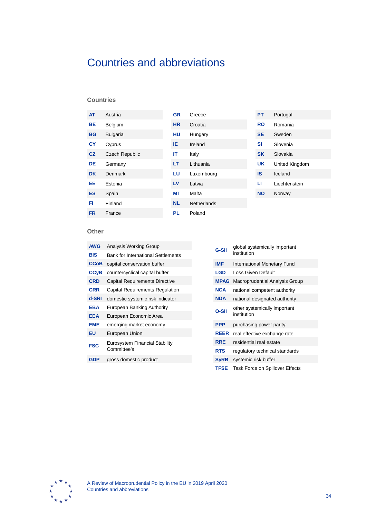# <span id="page-33-0"></span>Countries and abbreviations

#### **Countries**

| <b>AT</b> | Austria         | <b>GR</b> | Greece             | <b>PT</b> | Portugal       |
|-----------|-----------------|-----------|--------------------|-----------|----------------|
| <b>BE</b> | Belgium         | <b>HR</b> | Croatia            | <b>RO</b> | Romania        |
| <b>BG</b> | <b>Bulgaria</b> | <b>HU</b> | Hungary            | <b>SE</b> | Sweden         |
| <b>CY</b> | Cyprus          | IE.       | Ireland            | SI        | Slovenia       |
| CZ        | Czech Republic  | IT        | Italy              | <b>SK</b> | Slovakia       |
| <b>DE</b> | Germany         | LT        | Lithuania          | <b>UK</b> | United Kingdom |
| <b>DK</b> | <b>Denmark</b>  | LU        | Luxembourg         | <b>IS</b> | Iceland        |
| EE.       | Estonia         | LV        | Latvia             | п         | Liechtenstein  |
| <b>ES</b> | Spain           | <b>MT</b> | Malta              | <b>NO</b> | Norway         |
| FI        | Finland         | <b>NL</b> | <b>Netherlands</b> |           |                |
| <b>FR</b> | France          | <b>PL</b> | Poland             |           |                |

#### **Other**

| <b>AWG</b>             | Analysis Working Group                        |
|------------------------|-----------------------------------------------|
| BIS                    | <b>Bank for International Settlements</b>     |
| <b>CCoB</b>            | capital conservation buffer                   |
| <b>CC<sub>V</sub>B</b> | countercyclical capital buffer                |
| <b>CRD</b>             | Capital Requirements Directive                |
| CRR                    | Capital Requirements Regulation               |
| d-SRI                  | domestic systemic risk indicator              |
| <b>EBA</b>             | European Banking Authority                    |
| EEA                    | European Economic Area                        |
| EME                    | emerging market economy                       |
| ΕU                     | European Union                                |
| <b>FSC</b>             | Eurosystem Financial Stability<br>Committee's |
| GDP                    | gross domestic product                        |

| <b>G-SII</b> | global systemically important<br>institution |
|--------------|----------------------------------------------|
| <b>IMF</b>   | <b>International Monetary Fund</b>           |
| LGD          | Loss Given Default                           |
| <b>MPAG</b>  | Macroprudential Analysis Group               |
| <b>NCA</b>   | national competent authority                 |
| <b>NDA</b>   | national designated authority                |
| O-SII        | other systemically important<br>institution  |
| <b>PPP</b>   | purchasing power parity                      |
| REER         | real effective exchange rate                 |
| <b>RRE</b>   | residential real estate                      |
| RTS          | regulatory technical standards               |
| <b>SyRB</b>  | systemic risk buffer                         |
| <b>TFSE</b>  | <b>Task Force on Spillover Effects</b>       |